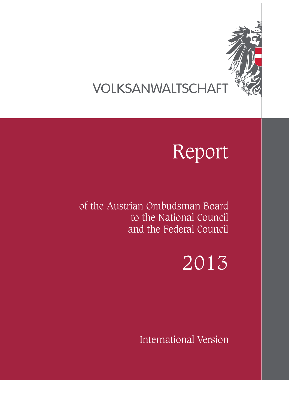

## VOLKSANWALTSCHAFT

# Report

of the Austrian Ombudsman Board to the National Council and the Federal Council

2013

International Version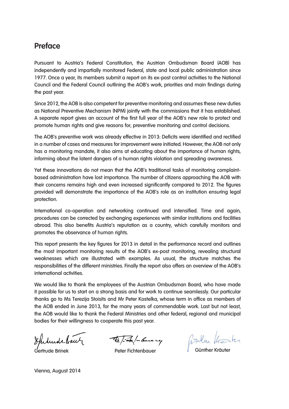## **Preface**

Pursuant to Austria's Federal Constitution, the Austrian Ombudsman Board (AOB) has independently and impartially monitored Federal, state and local public administration since 1977. Once a year, its members submit a report on its ex-post control activities to the National Council and the Federal Council outlining the AOB's work, priorities and main findings during the past year.

Since 2012, the AOB is also competent for preventive monitoring and assumes these new duties as National Preventive Mechanism (NPM) jointly with the commissions that it has established. A separate report gives an account of the first full year of the AOB's new role to protect and promote human rights and give reasons for, preventive monitoring and control decisions.

The AOB's preventive work was already effective in 2013: Deficits were identified and rectified in a number of cases and measures for improvement were initiated. However, the AOB not only has a monitoring mandate, it also aims at educating about the importance of human rights, informing about the latent dangers of a human rights violation and spreading awareness.

Yet these innovations do not mean that the AOB's traditional tasks of monitoring complaintbased administration have lost importance. The number of citizens approaching the AOB with their concerns remains high and even increased significantly compared to 2012. The figures provided will demonstrate the importance of the AOB's role as an institution ensuring legal protection.

International co-operation and networking continued and intensified. Time and again, procedures can be corrected by exchanging experiences with similar institutions and facilities abroad. This also benefits Austria's reputation as a country, which carefully monitors and promotes the observance of human rights.

This report presents the key figures for 2013 in detail in the performance record and outlines the most important monitoring results of the AOB's ex-post monitoring, revealing structural weaknesses which are illustrated with examples. As usual, the structure matches the responsibilities of the different ministries. Finally the report also offers an overview of the AOB's international activities.

We would like to thank the employees of the Austrian Ombudsman Board, who have made it possible for us to start on a strong basis and for work to continue seamlessly. Our particular thanks go to Ms Terezija Stoisits and Mr Peter Kostelka, whose term in office as members of the AOB ended in June 2013, for the many years of commendable work. Last but not least, the AOB would like to thank the Federal Ministries and other federal, regional and municipal bodies for their willingness to cooperate this past year.

Gertrude Brinek Peter Fichtenbauer Günther Kräuter

Vienna, August 2014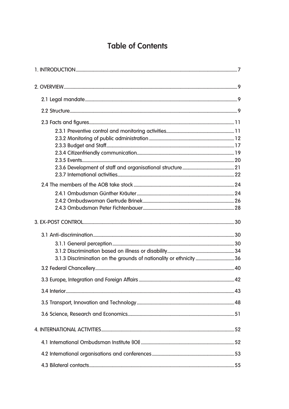## **Table of Contents**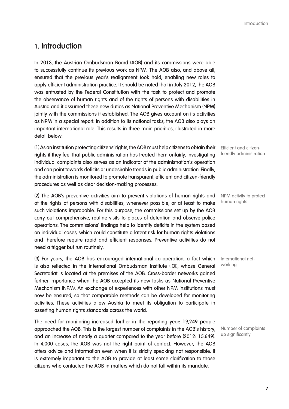## **1. Introduction**

In 2013, the Austrian Ombudsman Board (AOB) and its commissions were able to successfully continue its previous work as NPM. The AOB also, and above all, ensured that the previous year's realignment took hold, enabling new roles to apply efficient administration practice. It should be noted that in July 2012, the AOB was entrusted by the Federal Constitution with the task to protect and promote the observance of human rights and of the rights of persons with disabilities in Austria and it assumed these new duties as National Preventive Mechanism (NPM) jointly with the commissions it established. The AOB gives account on its activities as NPM in a special report. In addition to its national tasks, the AOB also plays an important international role. This results in three main priorities, illustrated in more detail below:

(1) As an institution protecting citizens' rights, the AOB must help citizens to obtain their rights if they feel that public administration has treated them unfairly. Investigating individual complaints also serves as an indicator of the administration's operation and can point towards deficits or undesirable trends in public administration. Finally, the administration is monitored to promote transparent, efficient and citizen-friendly procedures as well as clear decision-making processes.

(2) The AOB's preventive activities aim to prevent violations of human rights and of the rights of persons with disabilities, whenever possible, or at least to make such violations improbable. For this purpose, the commissions set up by the AOB carry out comprehensive, routine visits to places of detention and observe police operations. The commissions' findings help to identify deficits in the system based on individual cases, which could constitute a latent risk for human rights violations and therefore require rapid and efficient responses. Preventive activities do not need a trigger but run routinely.

(3) For years, the AOB has encouraged international co-operation, a fact which is also reflected in the International Ombudsman Institute (IOI), whose General Secretariat is located at the premises of the AOB. Cross-border networks gained further importance when the AOB accepted its new tasks as National Preventive Mechanism (NPM). An exchange of experiences with other NPM institutions must now be ensured, so that comparable methods can be developed for monitoring activities. These activities allow Austria to meet its obligation to participate in asserting human rights standards across the world.

The need for monitoring increased further in the reporting year: 19,249 people approached the AOB. This is the largest number of complaints in the AOB's history, and an increase of nearly a quarter compared to the year before (2012: 15,649). In 4,000 cases, the AOB was not the right point of contact. However, the AOB offers advice and information even when it is strictly speaking not responsible. It is extremely important to the AOB to provide at least some clarification to those citizens who contacted the AOB in matters which do not fall within its mandate.

Efficient and citizenfriendly administration

NPM activity to protect human rights

International networking

Number of complaints up significantly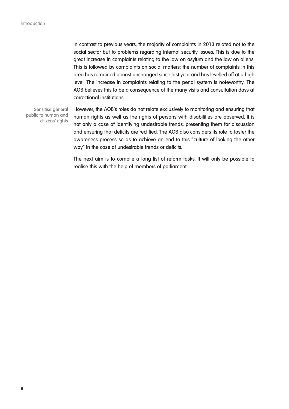In contrast to previous years, the majority of complaints in 2013 related not to the social sector but to problems regarding internal security issues. This is due to the great increase in complaints relating to the law on asylum and the law on aliens. This is followed by complaints on social matters; the number of complaints in this area has remained almost unchanged since last year and has levelled off at a high level. The increase in complaints relating to the penal system is noteworthy. The AOB believes this to be a consequence of the many visits and consultation days at correctional institutions

Sensitise general public to human and citizens' rights

However, the AOB's roles do not relate exclusively to monitoring and ensuring that human rights as well as the rights of persons with disabilities are observed. It is not only a case of identifying undesirable trends, presenting them for discussion and ensuring that deficits are rectified. The AOB also considers its role to foster the awareness process so as to achieve an end to this "culture of looking the other way" in the case of undesirable trends or deficits.

The next aim is to compile a long list of reform tasks. It will only be possible to realise this with the help of members of parliament.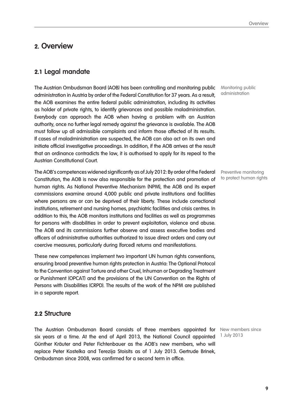## **2. Overview**

## **2.1 Legal mandate**

The Austrian Ombudsman Board (AOB) has been controlling and monitoring public administration in Austria by order of the Federal Constitution for 37 years. As a result, the AOB examines the entire federal public administration, including its activities as holder of private rights, to identify grievances and possible maladministration. Everybody can approach the AOB when having a problem with an Austrian authority, once no further legal remedy against the grievance is available. The AOB must follow up all admissible complaints and inform those affected of its results. If cases of maladministration are suspected, the AOB can also act on its own and initiate official investigative proceedings. In addition, if the AOB arrives at the result that an ordinance contradicts the law, it is authorised to apply for its repeal to the Austrian Constitutional Court.

The AOB's competences widened significantly as of July 2012: By order of the Federal Constitution, the AOB is now also responsible for the protection and promotion of human rights. As National Preventive Mechanism (NPM), the AOB and its expert commissions examine around 4,000 public and private institutions and facilities where persons are or can be deprived of their liberty. These include correctional institutions, retirement and nursing homes, psychiatric facilities and crisis centres. In addition to this, the AOB monitors institutions and facilities as well as programmes for persons with disabilities in order to prevent exploitation, violence and abuse. The AOB and its commissions further observe and assess executive bodies and officers of administrative authorities authorized to issue direct orders and carry out coercive measures, particularly during (forced) returns and manifestations.

These new competences implement two important UN human rights conventions, ensuring broad preventive human rights protection in Austria: The Optional Protocol to the Convention against Torture and other Cruel, Inhuman or Degrading Treatment or Punishment (OPCAT) and the provisions of the UN Convention on the Rights of Persons with Disabilities (CRPD). The results of the work of the NPM are published in a separate report.

#### **2.2 Structure**

The Austrian Ombudsman Board consists of three members appointed for New members since six years at a time. At the end of April 2013, the National Council appointed Günther Kräuter and Peter Fichtenbauer as the AOB's new members, who will replace Peter Kostelka and Terezija Stoisits as of 1 July 2013. Gertrude Brinek, Ombudsman since 2008, was confirmed for a second term in office.

Monitoring public administration

Preventive monitoring to protect human rights

1 July 2013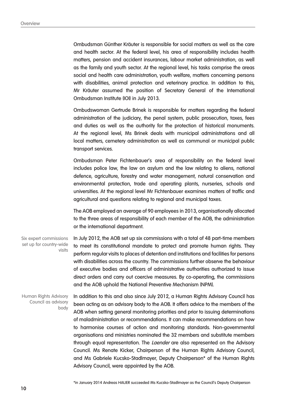Ombudsman Günther Kräuter is responsible for social matters as well as the care and health sector. At the federal level, his area of responsibility includes health matters, pension and accident insurances, labour market administration, as well as the family and youth sector. At the regional level, his tasks comprise the areas social and health care administration, youth welfare, matters concerning persons with disabilities, animal protection and veterinary practice. In addition to this, Mr Kräuter assumed the position of Secretary General of the International Ombudsman Institute (IOI) in July 2013.

Ombudswoman Gertrude Brinek is responsible for matters regarding the federal administration of the judiciary, the penal system, public prosecution, taxes, fees and duties as well as the authority for the protection of historical monuments. At the regional level, Ms Brinek deals with municipal administrations and all local matters, cemetery administration as well as communal or municipal public transport services.

Ombudsman Peter Fichtenbauer's area of responsibility on the federal level includes police law, the law on asylum and the law relating to aliens, national defence, agriculture, forestry and water management, natural conservation and environmental protection, trade and operating plants, nurseries, schools and universities. At the regional level Mr Fichtenbauer examines matters of traffic and agricultural and questions relating to regional and municipal taxes.

The AOB employed an average of 90 employees in 2013, organisationally allocated to the three areas of responsibility of each member of the AOB, the administration or the international department.

In July 2012, the AOB set up six commissions with a total of 48 part-time members to meet its constitutional mandate to protect and promote human rights. They perform regular visits to places of detention and institutions and facilities for persons with disabilities across the country. The commissions further observe the behaviour of executive bodies and officers of administrative authorities authorized to issue direct orders and carry out coercive measures. By co-operating, the commissions and the AOB uphold the National Preventive Mechanism (NPM). Six expert commissions set up for country-wide visits

In addition to this and also since July 2012, a Human Rights Advisory Council has been acting as an advisory body to the AOB. It offers advice to the members of the AOB when setting general monitoring priorities and prior to issuing determinations of maladministration or recommendations. It can make recommendations on how to harmonise courses of action and monitoring standards. Non-governmental organisations and ministries nominated the 32 members and substitute members through equal representation. The *Laender* are also represented on the Advisory Council. Ms Renate Kicker, Chairperson of the Human Rights Advisory Council, and Ms Gabriele Kucsko-Stadlmayer, Deputy Chairperson\* of the Human Rights Advisory Council, were appointed by the AOB. Human Rights Advisory Council as advisory body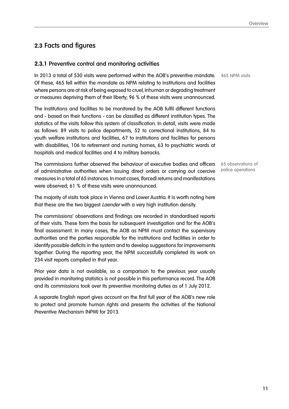## **2.3 Facts and figures**

#### **2.3.1 Preventive control and monitoring activities**

In 2013 a total of 530 visits were performed within the AOB's preventive mandate. 465 NPM visits Of these, 465 fell within the mandate as NPM relating to institutions and facilities where persons are at risk of being exposed to cruel, inhuman or degrading treatment or measures depriving them of their liberty; 96 % of these visits were unannounced.

The institutions and facilities to be monitored by the AOB fulfil different functions and - based on their functions - can be classified as different institution types. The statistics of the visits follow this system of classification. In detail, visits were made as follows: 89 visits to police departments, 52 to correctional institutions, 84 to youth welfare institutions and facilities, 67 to institutions and facilities for persons with disabilities, 106 to retirement and nursing homes, 63 to psychiatric wards at hospitals and medical facilities and 4 to military barracks.

The commissions further observed the behaviour of executive bodies and officers of administrative authorities when issuing direct orders or carrying out coercive measures in a total of 65 instances. In most cases, (forced) returns and manifestations were observed; 61 % of these visits were unannounced.

The majority of visits took place in Vienna and Lower Austria. It is worth noting here that these are the two biggest *Laender* with a very high institution density.

The commissions' observations and findings are recorded in standardised reports of their visits. These form the basis for subsequent investigation and for the AOB's final assessment. In many cases, the AOB as NPM must contact the supervisory authorities and the parties responsible for the institutions and facilities in order to identify possible deficits in the system and to develop suggestions for improvements together. During the reporting year, the NPM successfully completed its work on 234 visit reports compiled in that year.

Prior year data is not available, so a comparison to the previous year usually provided in monitoring statistics is not possible in this performance record. The AOB and its commissions took over its preventive monitoring duties as of 1 July 2012.

A separate English report gives account on the first full year of the AOB's new role to protect and promote human rights and presents the activities of the National Preventive Mechanism (NPM) for 2013.

65 observations of police operations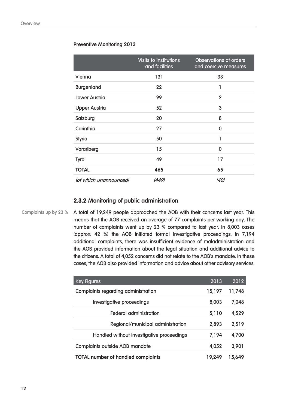#### **Preventive Monitoring 2013**

|                        | Visits to institutions<br>and facilities | <b>Observations of orders</b><br>and coercive measures |
|------------------------|------------------------------------------|--------------------------------------------------------|
| Vienna                 | 131                                      | 33                                                     |
| <b>Burgenland</b>      | 22                                       | 1                                                      |
| <b>Lower Austria</b>   | 99                                       | $\overline{2}$                                         |
| <b>Upper Austria</b>   | 52                                       | 3                                                      |
| Salzburg               | 20                                       | 8                                                      |
| Carinthia              | 27                                       | $\Omega$                                               |
| <b>Styria</b>          | 50                                       | 1                                                      |
| Vorarlberg             | 15                                       | 0                                                      |
| Tyrol                  | 49                                       | 17                                                     |
| <b>TOTAL</b>           | 465                                      | 65                                                     |
| (of which unannounced) | (449)                                    | (40)                                                   |

#### **2.3.2 Monitoring of public administration**

Complaints up by 23 %

A total of 19,249 people approached the AOB with their concerns last year. This means that the AOB received an average of 77 complaints per working day. The number of complaints went up by 23 % compared to last year. In 8,003 cases (approx. 42 %) the AOB initiated formal investigative proceedings. In 7,194 additional complaints, there was insufficient evidence of maladministration and the AOB provided information about the legal situation and additional advice to the citizens. A total of 4,052 concerns did not relate to the AOB's mandate. In these cases, the AOB also provided information and advice about other advisory services.

| <b>Key Figures</b>                        | 2013   | 2012   |
|-------------------------------------------|--------|--------|
| Complaints regarding administration       | 15,197 | 11,748 |
| Investigative proceedings                 | 8,003  | 7,048  |
| Federal administration                    | 5,110  | 4,529  |
| Regional/municipal administration         | 2,893  | 2,519  |
| Handled without investigative proceedings | 7,194  | 4,700  |
| <b>Complaints outside AOB mandate</b>     | 4,052  | 3,901  |
| <b>TOTAL number of handled complaints</b> | 19,249 | 15,649 |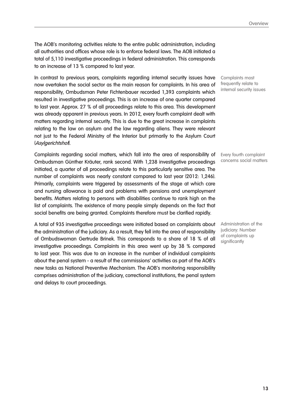The AOB's monitoring activities relate to the entire public administration, including all authorities and offices whose role is to enforce federal laws. The AOB initiated a total of 5,110 investigative proceedings in federal administration. This corresponds to an increase of 13 % compared to last year.

In contrast to previous years, complaints regarding internal security issues have now overtaken the social sector as the main reason for complaints. In his area of responsibility, Ombudsman Peter Fichtenbauer recorded 1,393 complaints which resulted in investigative proceedings. This is an increase of one quarter compared to last year. Approx. 27 % of all proceedings relate to this area. This development was already apparent in previous years. In 2012, every fourth complaint dealt with matters regarding internal security. This is due to the great increase in complaints relating to the law on asylum and the law regarding aliens. They were relevant not just to the Federal Ministry of the Interior but primarily to the Asylum Court (Asylgerichtshof).

Complaints regarding social matters, which fall into the area of responsibility of Ombudsman Günther Kräuter, rank second. With 1,238 investigative proceedings initiated, a quarter of all proceedings relate to this particularly sensitive area. The number of complaints was nearly constant compared to last year (2012: 1,246). Primarily, complaints were triggered by assessments of the stage at which care and nursing allowance is paid and problems with pensions and unemployment benefits. Matters relating to persons with disabilities continue to rank high on the list of complaints. The existence of many people simply depends on the fact that social benefits are being granted. Complaints therefore must be clarified rapidly.

A total of 935 investigative proceedings were initiated based on complaints about the administration of the judiciary. As a result, they fell into the area of responsibility of Ombudswoman Gertrude Brinek. This corresponds to a share of 18 % of all investigative proceedings. Complaints in this area went up by 38 % compared to last year. This was due to an increase in the number of individual complaints about the penal system - a result of the commissions' activities as part of the AOB's new tasks as National Preventive Mechanism. The AOB's monitoring responsibility comprises administration of the judiciary, correctional institutions, the penal system and delays to court proceedings.

Complaints most frequently relate to internal security issues

Every fourth complaint concerns social matters

Administration of the judiciary: Number of complaints up significantly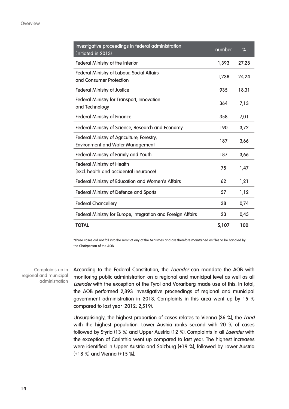| Investigative proceedings in federal administration<br>(initiated in 2013)            | number | %     |
|---------------------------------------------------------------------------------------|--------|-------|
| <b>Federal Ministry of the Interior</b>                                               | 1,393  | 27,28 |
| <b>Federal Ministry of Labour, Social Affairs</b><br>and Consumer Protection          | 1,238  | 24,24 |
| <b>Federal Ministry of Justice</b>                                                    | 935    | 18,31 |
| <b>Federal Ministry for Transport, Innovation</b><br>and Technology                   | 364    | 7,13  |
| <b>Federal Ministry of Finance</b>                                                    | 358    | 7,01  |
| Federal Ministry of Science, Research and Economy                                     | 190    | 3,72  |
| Federal Ministry of Agriculture, Forestry,<br><b>Environment and Water Management</b> | 187    | 3,66  |
| Federal Ministry of Family and Youth                                                  | 187    | 3,66  |
| <b>Federal Ministry of Health</b><br>(excl. health and accidental insurance)          | 75     | 1,47  |
| Federal Ministry of Education and Women's Affairs                                     | 62     | 1,21  |
| <b>Federal Ministry of Defence and Sports</b>                                         | 57     | 1,12  |
| <b>Federal Chancellery</b>                                                            | 38     | 0,74  |
| Federal Ministry for Europe, Integration and Foreign Affairs                          | 23     | 0,45  |
| <b>TOTAL</b>                                                                          | 5,107  | 100   |

\*Three cases did not fall into the remit of any of the Ministries and are therefore maintained as files to be handled by the Chairperson of the AOB

Complaints up in regional and municipal administration

According to the Federal Constitution, the *Laender* can mandate the AOB with monitoring public administration on a regional and municipal level as well as all Laender with the exception of the Tyrol and Vorarlberg made use of this. In total, the AOB performed 2,893 investigative proceedings of regional and municipal government administration in 2013. Complaints in this area went up by 15 % compared to last year (2012: 2,519).

Unsurprisingly, the highest proportion of cases relates to Vienna (36 %), the Land with the highest population. Lower Austria ranks second with 20 % of cases followed by Styria (13 %) and Upper Austria (12 %). Complaints in all Laender with the exception of Carinthia went up compared to last year. The highest increases were identified in Upper Austria and Salzburg (+19 %), followed by Lower Austria (+18 %) and Vienna (+15 %).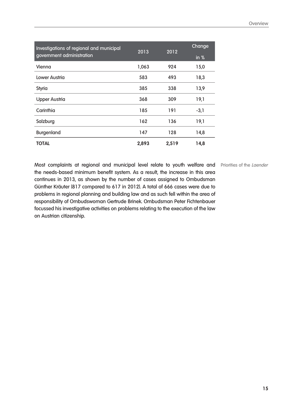| Investigations of regional and municipal<br>2013 |       | 2012  | Change                     |
|--------------------------------------------------|-------|-------|----------------------------|
| government administration                        |       |       | $\overline{\mathsf{in}}$ % |
| Vienna                                           | 1,063 | 924   | 15,0                       |
| Lower Austria                                    | 583   | 493   | 18,3                       |
| <b>Styria</b>                                    | 385   | 338   | 13,9                       |
| <b>Upper Austria</b>                             | 368   | 309   | 19,1                       |
| Carinthia                                        | 185   | 191   | $-3,1$                     |
| Salzburg                                         | 162   | 136   | 19,1                       |
| <b>Burgenland</b>                                | 147   | 128   | 14,8                       |
| <b>TOTAL</b>                                     | 2,893 | 2,519 | 14,8                       |

Most complaints at regional and municipal level relate to youth welfare and Priorities of the Laender the needs-based minimum benefit system. As a result, the increase in this area continues in 2013, as shown by the number of cases assigned to Ombudsman Günther Kräuter (817 compared to 617 in 2012). A total of 666 cases were due to problems in regional planning and building law and as such fell within the area of responsibility of Ombudswoman Gertrude Brinek. Ombudsman Peter Fichtenbauer focussed his investigative activities on problems relating to the execution of the law on Austrian citizenship.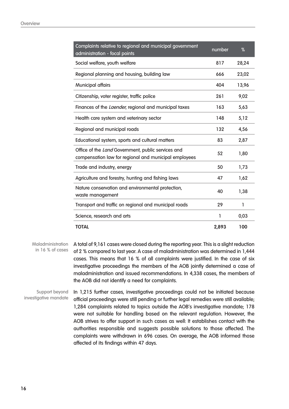| Complaints relative to regional and municipal government<br>administration - focal points                   | number | %     |
|-------------------------------------------------------------------------------------------------------------|--------|-------|
| Social welfare, youth welfare                                                                               | 817    | 28,24 |
| Regional planning and housing, building law                                                                 | 666    | 23,02 |
| <b>Municipal affairs</b>                                                                                    | 404    | 13,96 |
| Citizenship, voter register, traffic police                                                                 | 261    | 9,02  |
| Finances of the <i>Laender</i> , regional and municipal taxes                                               | 163    | 5,63  |
| Health care system and veterinary sector                                                                    | 148    | 5,12  |
| Regional and municipal roads                                                                                | 132    | 4,56  |
| Educational system, sports and cultural matters                                                             | 83     | 2,87  |
| Office of the Land Government, public services and<br>compensation law for regional and municipal employees | 52     | 1,80  |
| Trade and industry, energy                                                                                  | 50     | 1,73  |
| Agriculture and forestry, hunting and fishing laws                                                          | 47     | 1,62  |
| Nature conservation and environmental protection,<br>waste management                                       | 40     | 1,38  |
| Transport and traffic on regional and municipal roads                                                       | 29     | 1     |
| Science, research and arts                                                                                  | 1      | 0,03  |
| <b>TOTAL</b>                                                                                                | 2,893  | 100   |

A total of 9,161 cases were closed during the reporting year. This is a slight reduction of 2 % compared to last year. A case of maladministration was determined in 1,444 cases. This means that 16 % of all complaints were justified. In the case of six investigative proceedings the members of the AOB jointly determined a case of maladministration and issued recommendations. In 4,338 cases, the members of the AOB did not identify a need for complaints. **Maladministration** in 16 % of cases

In 1,215 further cases, investigative proceedings could not be initiated because official proceedings were still pending or further legal remedies were still available; 1,284 complaints related to topics outside the AOB's investigative mandate; 178 were not suitable for handling based on the relevant regulation. However, the AOB strives to offer support in such cases as well: It establishes contact with the authorities responsible and suggests possible solutions to those affected. The complaints were withdrawn in 696 cases. On average, the AOB informed those affected of its findings within 47 days. Support beyond investigative mandate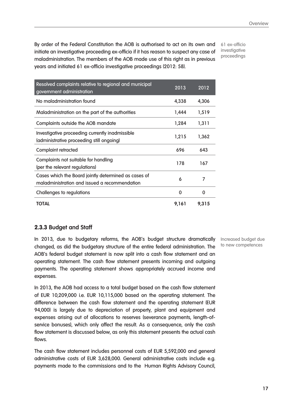By order of the Federal Constitution the AOB is authorised to act on its own and initiate an investigative proceeding ex-officio if it has reason to suspect any case of maladministration. The members of the AOB made use of this right as in previous years and initiated 61 ex-officio investigative proceedings (2012: 58).

61 ex-officio investigative proceedings

| Resolved complaints relative to regional and municipal                                                | 2013  | 2012  |
|-------------------------------------------------------------------------------------------------------|-------|-------|
| government administration                                                                             |       |       |
| No maladministration found                                                                            | 4,338 | 4,306 |
| Maladministration on the part of the authorities                                                      | 1,444 | 1,519 |
| Complaints outside the AOB mandate                                                                    | 1,284 | 1,311 |
| Investigative proceeding currently inadmissible<br>(administrative proceeding still ongoing)          | 1,215 | 1,362 |
| <b>Complaint retracted</b>                                                                            | 696   | 643   |
| Complaints not suitable for handling<br>(per the relevant regulations)                                | 178   | 167   |
| Cases which the Board jointly determined as cases of<br>maladministration and issued a recommendation | 6     | 7     |
| Challenges to regulations                                                                             | 0     | 0     |
| TOTAL                                                                                                 | 9,161 | 9,315 |

#### **2.3.3 Budget and Staff**

In 2013, due to budgetary reforms, the AOB's budget structure dramatically changed, as did the budgetary structure of the entire federal administration. The AOB's federal budget statement is now split into a cash flow statement and an operating statement. The cash flow statement presents incoming and outgoing payments. The operating statement shows appropriately accrued income and expenses.

In 2013, the AOB had access to a total budget based on the cash flow statement of EUR 10,209,000 i.e. EUR 10,115,000 based on the operating statement. The difference between the cash flow statement and the operating statement (EUR 94,000) is largely due to depreciation of property, plant and equipment and expenses arising out of allocations to reserves (severance payments, length-ofservice bonuses), which only affect the result. As a consequence, only the cash flow statement is discussed below, as only this statement presents the actual cash flows.

The cash flow statement includes personnel costs of EUR 5,592,000 and general administrative costs of EUR 3,628,000. General administrative costs include e.g. payments made to the commissions and to the Human Rights Advisory Council,

Increased budget due to new competences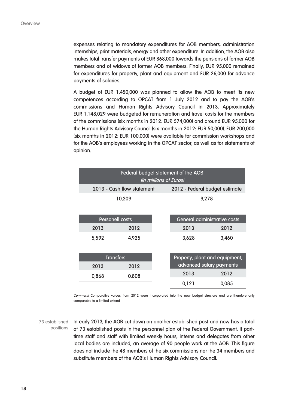expenses relating to mandatory expenditures for AOB members, administration internships, print materials, energy and other expenditure. In addition, the AOB also makes total transfer payments of EUR 868,000 towards the pensions of former AOB members and of widows of former AOB members. Finally, EUR 95,000 remained for expenditures for property, plant and equipment and EUR 26,000 for advance payments of salaries.

A budget of EUR 1,450,000 was planned to allow the AOB to meet its new competences according to OPCAT from 1 July 2012 and to pay the AOB's commissions and Human Rights Advisory Council in 2013. Approximately EUR 1,148,029 were budgeted for remuneration and travel costs for the members of the commissions (six months in 2012: EUR 574,000) and around EUR 95,000 for the Human Rights Advisory Council (six months in 2012: EUR 50,000). EUR 200,000 (six months in 2012: EUR 100,000) were available for commission workshops and for the AOB's employees working in the OPCAT sector, as well as for statements of opinion.

|                        |                            | (in millions of Euros) | Federal budget statement of the AOB |                              |
|------------------------|----------------------------|------------------------|-------------------------------------|------------------------------|
|                        | 2013 - Cash flow statement |                        | 2012 - Federal budget estimate      |                              |
|                        | 10,209                     |                        | 9,278                               |                              |
|                        |                            |                        |                                     |                              |
| <b>Personell costs</b> |                            |                        |                                     | General administrative costs |
| 2013                   | 2012                       |                        | 2013                                | 2012                         |
| 5,592                  | 4,925                      |                        | 3,628                               | 3,460                        |
|                        |                            |                        |                                     |                              |
| <b>Transfers</b>       |                            |                        | Property, plant and equipment,      |                              |
| 2013                   | 2012                       |                        |                                     | advanced salary payments     |
| 0,868                  | 0,808                      |                        | 2013                                | 2012                         |
|                        |                            |                        | 0,121                               | 0,085                        |

Comment: Comparaitve values from 2012 were incorporated into the new budget structure and are therefore only comparable to a limited extend

73 established In early 2013, the AOB cut down on another established post and now has a total of 73 established posts in the personnel plan of the Federal Government. If parttime staff and staff with limited weekly hours, interns and delegates from other local bodies are included, an average of 90 people work at the AOB. This figure does not include the 48 members of the six commissions nor the 34 members and substitute members of the AOB's Human Rights Advisory Council. positions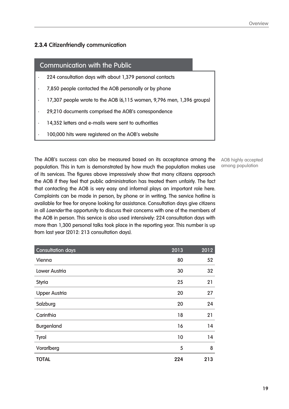#### **2.3.4 Citizenfriendly communication**

#### Communication with the Public

- 224 consultation days with about 1,379 personal contacts
- 7,850 people contacted the AOB personally or by phone
- 17,307 people wrote to the AOB (6,115 women, 9,796 men, 1,396 groups)
- 29,210 documents comprised the AOB's correspondence
- 14,352 letters and e-mails were sent to authorities
- 100,000 hits were registered on the AOB's website

The AOB's success can also be measured based on its acceptance among the population. This in turn is demonstrated by how much the population makes use of its services. The figures above impressively show that many citizens approach the AOB if they feel that public administration has treated them unfairly. The fact that contacting the AOB is very easy and informal plays an important role here. Complaints can be made in person, by phone or in writing. The service hotline is available for free for anyone looking for assistance. Consultation days give citizens in all *Laender* the opportunity to discuss their concerns with one of the members of the AOB in person. This service is also used intensively: 224 consultation days with more than 1,300 personal talks took place in the reporting year. This number is up from last year (2012: 213 consultation days).

| <b>Consultation days</b> | 2013 | 2012 |
|--------------------------|------|------|
| Vienna                   | 80   | 52   |
| <b>Lower Austria</b>     | 30   | 32   |
| <b>Styria</b>            | 25   | 21   |
| <b>Upper Austria</b>     | 20   | 27   |
| Salzburg                 | 20   | 24   |
| Carinthia                | 18   | 21   |
| <b>Burgenland</b>        | 16   | 14   |
| <b>Tyrol</b>             | 10   | 14   |
| Vorarlberg               | 5    | 8    |
| <b>TOTAL</b>             | 224  | 213  |

AOB highly accepted among population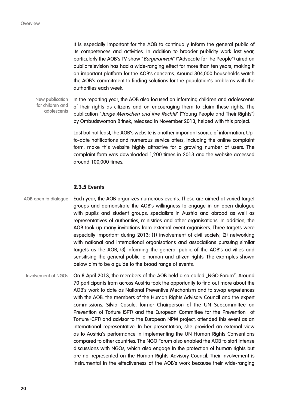It is especially important for the AOB to continually inform the general public of its competences and activities. In addition to broader publicity work last year, particularly the AOB's TV show "Bürgeranwalt" ("Advocate for the People") aired on public television has had a wide-ranging effect for more than ten years, making it an important platform for the AOB's concerns. Around 304,000 households watch the AOB's commitment to finding solutions for the population's problems with the authorities each week.

New publication for children and adolescents

In the reporting year, the AOB also focused on informing children and adolescents of their rights as citizens and on encouraging them to claim these rights. The publication "Junge Menschen und ihre Rechte" ("Young People and Their Rights") by Ombudswoman Brinek, released in November 2013, helped with this project.

Last but not least, the AOB's website is another important source of information. Upto-date notifications and numerous service offers, including the online complaint form, make this website highly attractive for a growing number of users. The complaint form was downloaded 1,200 times in 2013 and the website accessed around 100,000 times.

#### **2.3.5 Events**

AOB open to dialogue

Each year, the AOB organizes numerous events. These are aimed at varied target groups and demonstrate the AOB's willingness to engage in an open dialogue with pupils and student groups, specialists in Austria and abroad as well as representatives of authorities, ministries and other organisations. In addition, the AOB took up many invitations from external event organisers. Three targets were especially important during 2013: (1) involvement of civil society, (2) networking with national and international organisations and associations pursuing similar targets as the AOB, (3) informing the general public of the AOB's activities and sensitising the general public to human and citizen rights. The examples shown below aim to be a guide to the broad range of events.

On 8 April 2013, the members of the AOB held a so-called "NGO Forum". Around 70 participants from across Austria took the opportunity to find out more about the AOB's work to date as National Preventive Mechanism and to swap experiences with the AOB, the members of the Human Rights Advisory Council and the expert commissions. Silvia Casale, former Chairperson of the UN Subcommittee on Prevention of Torture (SPT) and the European Committee for the Prevention of Torture (CPT) and advisor to the European NPM project, attended this event as an international representative. In her presentation, she provided an external view as to Austria's performance in implementing the UN Human Rights Conventions compared to other countries. The NGO Forum also enabled the AOB to start intense discussions with NGOs, which also engage in the protection of human rights but are not represented on the Human Rights Advisory Council. Their involvement is instrumental in the effectiveness of the AOB's work because their wide-ranging Involvement of NGOs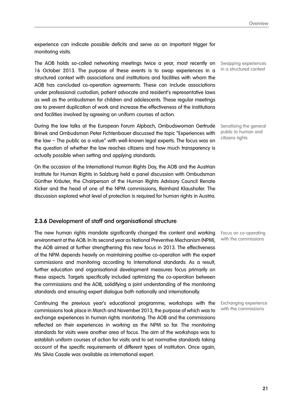experience can indicate possible deficits and serve as an important trigger for monitoring visits.

The AOB holds so-called networking meetings twice a year, most recently on 16 October 2013. The purpose of these events is to swap experiences in a structured context with associations and institutions and facilities with whom the AOB has concluded co-operation agreements. These can include associations under professional custodian, patient advocate and resident's representative laws as well as the ombudsmen for children and adolescents. These regular meetings are to prevent duplication of work and increase the effectiveness of the institutions and facilities involved by agreeing on uniform courses of action.

During the law talks at the European Forum Alpbach, Ombudswoman Gertrude Brinek and Ombudsman Peter Fichtenbauer discussed the topic "Experiences with the law – The public as a value" with well-known legal experts. The focus was on the question of whether the law reaches citizens and how much transparency is actually possible when setting and applying standards.

On the occasion of the International Human Rights Day, the AOB and the Austrian Institute for Human Rights in Salzburg held a panel discussion with Ombudsman Günther Kräuter, the Chairperson of the Human Rights Advisory Council Renate Kicker and the head of one of the NPM commissions, Reinhard Klaushofer. The discussion explored what level of protection is required for human rights in Austria.

#### **2.3.6 Development of staff and organisational structure**

The new human rights mandate significantly changed the content and working environment at the AOB. In its second year as National Preventive Mechanism (NPM), the AOB aimed at further strengthening this new focus in 2013. The effectiveness of the NPM depends heavily on maintaining positive co-operation with the expert commissions and monitoring according to international standards. As a result, further education and organisational development measures focus primarily on these aspects. Targets specifically included optimizing the co-operation between the commissions and the AOB, solidifying a joint understanding of the monitoring standards and ensuring expert dialogue both nationally and internationally.

Continuing the previous year's educational programme, workshops with the commissions took place in March and November 2013, the purpose of which was to exchange experiences in human rights monitoring. The AOB and the commissions reflected on their experiences in working as the NPM so far. The monitoring standards for visits were another area of focus. The aim of the workshops was to establish uniform courses of action for visits and to set normative standards taking account of the specific requirements of different types of institution. Once again, Ms Silvia Casale was available as international expert.

Swapping experiences in a structured context

Sensitising the general public to human and citizens rights

Focus on co-operating with the commissions

Exchanging experience with the commissions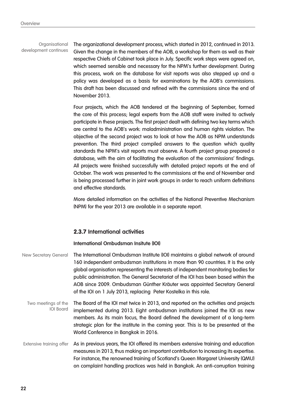The organizational development process, which started in 2012, continued in 2013. Given the change in the members of the AOB, a workshop for them as well as their respective Chiefs of Cabinet took place in July. Specific work steps were agreed on, which seemed sensible and necessary for the NPM's further development. During this process, work on the database for visit reports was also stepped up and a policy was developed as a basis for examinations by the AOB's commissions. This draft has been discussed and refined with the commissions since the end of November 2013. Organisational development continues

> Four projects, which the AOB tendered at the beginning of September, formed the core of this process; legal experts from the AOB staff were invited to actively participate in these projects. The first project dealt with defining two key terms which are central to the AOB's work: maladministration and human rights violation. The objective of the second project was to look at how the AOB as NPM understands prevention. The third project compiled answers to the question which quality standards the NPM's visit reports must observe. A fourth project group prepared a database, with the aim of facilitating the evaluation of the commissions' findings. All projects were finished successfully with detailed project reports at the end of October. The work was presented to the commissions at the end of November and is being processed further in joint work groups in order to reach uniform definitions and effective standards.

> More detailed information on the activities of the National Preventive Mechanism (NPM) for the year 2013 are available in a separate report.

#### **2.3.7 International activities**

#### **International Ombudsman Insitute (IOI)**

| <b>New Secretary General</b>            | The International Ombudsman Institute (IOI) maintains a global network of around<br>160 independent ombudsman institutions in more than 90 countries. It is the only<br>global organisation representing the interests of independent monitoring bodies for<br>public administration. The General Secretariat of the IOI has been based within the<br>AOB since 2009. Ombudsman Günther Kräuter was appointed Secretary General<br>of the IOI on 1 July 2013, replacing Peter Kostelka in this role. |
|-----------------------------------------|------------------------------------------------------------------------------------------------------------------------------------------------------------------------------------------------------------------------------------------------------------------------------------------------------------------------------------------------------------------------------------------------------------------------------------------------------------------------------------------------------|
| Two meetings of the<br><b>IOI</b> Board | The Board of the IOI met twice in 2013, and reported on the activities and projects<br>implemented during 2013. Eight ombudsman institutions joined the IOI as new<br>members. As its main focus, the Board defined the development of a long-term<br>strategic plan for the institute in the coming year. This is to be presented at the<br>World Conference in Bangkok in 2016.                                                                                                                    |
| <b>Extensive training offer</b>         | As in previous years, the IOI offered its members extensive training and education<br>measures in 2013, thus making an important contribution to increasing its expertise.<br>For instance, the renowned training of Scotland's Queen Margaret University (QMU)<br>on complaint handling practices was held in Bangkok. An anti-corruption training                                                                                                                                                  |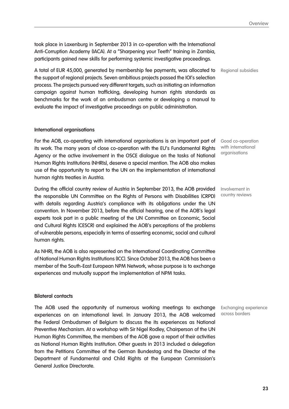Overview

took place in Laxenburg in September 2013 in co-operation with the International Anti-Corruption Academy (IACA). At a "Sharpening your Teeth" training in Zambia, participants gained new skills for performing systemic investigative proceedings.

A total of EUR 45,000, generated by membership fee payments, was allocated to the support of regional projects. Seven ambitious projects passed the IOI's selection process. The projects pursued very different targets, such as initiating an information campaign against human trafficking, developing human rights standards as benchmarks for the work of an ombudsman centre or developing a manual to evaluate the impact of investigative proceedings on public administration.

#### **International organisations**

For the AOB, co-operating with international organisations is an important part of its work. The many years of close co-operation with the EU's Fundamental Rights Agency or the active involvement in the OSCE dialogue on the tasks of National Human Rights Institutions (NHRIs), deserve a special mention. The AOB also makes use of the opportunity to report to the UN on the implementation of international human rights treaties in Austria.

During the official country review of Austria in September 2013, the AOB provided the responsible UN Committee on the Rights of Persons with Disabilities (CRPD) with details regarding Austria's compliance with its obligations under the UN convention. In November 2013, before the official hearing, one of the AOB's legal experts took part in a public meeting of the UN Committee on Economic, Social and Cultural Rights (CESCR) and explained the AOB's perceptions of the problems of vulnerable persons, especially in terms of asserting economic, social and cultural human rights.

As NHRI, the AOB is also represented on the International Coordinating Committee of National Human Rights Institutions (ICC). Since October 2013, the AOB has been a member of the South-East European NPM Network, whose purpose is to exchange experiences and mutually support the implementation of NPM tasks.

#### **Bilateral contacts**

The AOB used the opportunity of numerous working meetings to exchange experiences on an international level. In January 2013, the AOB welcomed the Federal Ombudsmen of Belgium to discuss the its experiences as National Preventive Mechanism. At a workshop with Sir Nigel Rodley, Chairperson of the UN Human Rights Committee, the members of the AOB gave a report of their activities as National Human Rights Institution. Other guests in 2013 included a delegation from the Petitions Committee of the German Bundestag and the Director of the Department of Fundamental and Child Rights at the European Commission's General Justice Directorate.

Good co-operation with international

organisations

Regional subsidies

Involvement in country reviews

Exchanging experience across borders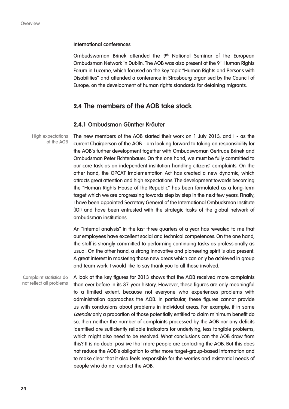#### **International conferences**

Ombudswoman Brinek attended the 9<sup>th</sup> National Seminar of the European Ombudsman Network in Dublin. The AOB was also present at the  $9<sup>th</sup>$  Human Rights Forum in Lucerne, which focused on the key topic "Human Rights and Persons with Disabilities" and attended a conference in Strasbourg organised by the Council of Europe, on the development of human rights standards for detaining migrants.

#### **2.4 The members of the AOB take stock**

#### **2.4.1 Ombudsman Günther Kräuter**

High expectations of the AOB

The new members of the AOB started their work on 1 July 2013, and I - as the current Chairperson of the AOB - am looking forward to taking on responsibility for the AOB's further development together with Ombudswoman Gertrude Brinek and Ombudsman Peter Fichtenbauer. On the one hand, we must be fully committed to our core task as an independent institution handling citizens' complaints. On the other hand, the OPCAT Implementation Act has created a new dynamic, which attracts great attention and high expectations. The development towards becoming the "Human Rights House of the Republic" has been formulated as a long-term target which we are progressing towards step by step in the next few years. Finally, I have been appointed Secretary General of the International Ombudsman Institute (IOI) and have been entrusted with the strategic tasks of the global network of ombudsman institutions.

An "internal analysis" in the last three quarters of a year has revealed to me that our employees have excellent social and technical competences. On the one hand, the staff is strongly committed to performing continuing tasks as professionally as usual. On the other hand, a strong innovative and pioneering spirit is also present: A great interest in mastering those new areas which can only be achieved in group and team work. I would like to say thank you to all those involved.

A look at the key figures for 2013 shows that the AOB received more complaints than ever before in its 37-year history. However, these figures are only meaningful to a limited extent, because not everyone who experiences problems with administration approaches the AOB. In particular, these figures cannot provide us with conclusions about problems in individual areas. For example, if in some Laender only a proportion of those potentially entitled to claim minimum benefit do so, then neither the number of complaints processed by the AOB nor any deficits identified are sufficiently reliable indicators for underlying, less tangible problems, which might also need to be resolved. What conclusions can the AOB draw from this? It is no doubt positive that more people are contacting the AOB. But this does not reduce the AOB's obligation to offer more target-group-based information and to make clear that it also feels responsible for the worries and existential needs of people who do not contact the AOB. Complaint statistics do not reflect all problems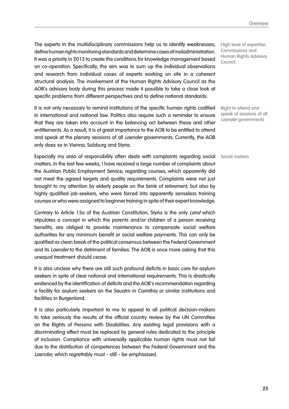The experts in the multidisciplinary commissions help us to identify weaknesses, define human rights monitoring standards and determine cases of maladministration. It was a priority in 2013 to create the conditions for knowledge management based on co-operation. Specifically, the aim was to sum up the individual observations and research from individual cases of experts working on site in a coherent structural analysis. The involvement of the Human Rights Advisory Council as the AOB's advisory body during this process made it possible to take a close look at specific problems from different perspectives and to define national standards.

It is not only necessary to remind institutions of the specific human rights codified in international and national law. Politics also require such a reminder to ensure that they are taken into account in the balancing act between these and other entitlements. As a result, it is of great importance to the AOB to be entitled to attend and speak at the plenary sessions of all *Laender* governments. Currently, the AOB only does so in Vienna, Salzburg and Styria.

Especially my area of responsibility often deals with complaints regarding social Social matters matters. In the last few weeks, I have received a large number of complaints about the Austrian Public Employment Service, regarding courses, which apparently did not meet the agreed targets and quality requirements. Complaints were not just brought to my attention by elderly people on the brink of retirement, but also by highly qualified job-seekers, who were forced into apparently senseless training courses or who were assigned to beginner training in spite of their expert knowledge.

Contrary to Article 15a of the Austrian Constitution, Styria is the only Land which stipulates a concept in which the parents and/or children of a person receiving benefits, are obliged to provide maintenance to compensate social welfare authorities for any minimum benefit or social welfare payments. This can only be qualified as clean break of the political consensus between the Federal Government and its *Laender* to the detriment of families. The AOB is once more asking that this unequal treatment should cease.

It is also unclear why there are still such profound deficits in basic care for asylum seekers in spite of clear national and international requirements. This is drastically evidenced by the identification of deficits and the AOB's recommendation regarding a facility for asylum seekers on the Saualm in Carinthia or similar institutions and facilities in Burgenland.

It is also particularly important to me to appeal to all political decision-makers to take seriously the results of the official country review by the UN Committee on the Rights of Persons with Disabilities. Any existing legal provisions with a discriminating effect must be replaced by general rules dedicated to the principle of inclusion. Compliance with universally applicable human rights must not fail due to the distribution of competences between the Federal Government and the Laender, which regrettably must - still - be emphasised.

High level of expertise: Commissions and Human Rights Advisory Council

Right to attend and speak at sessions of all Laender governments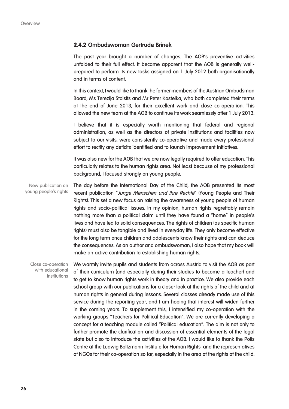#### **2.4.2 Ombudswoman Gertrude Brinek**

The past year brought a number of changes. The AOB's preventive activities unfolded to their full effect. It became apparent that the AOB is generally wellprepared to perform its new tasks assigned on 1 July 2012 both organisationally and in terms of content.

In this context, I would like to thank the former members of the Austrian Ombudsman Board, Ms Terezija Stoisits and Mr Peter Kostelka, who both completed their terms at the end of June 2013, for their excellent work and close co-operation. This allowed the new team at the AOB to continue its work seamlessly after 1 July 2013.

I believe that it is especially worth mentioning that federal and regional administration, as well as the directors of private institutions and facilities now subject to our visits, were consistently co-operative and made every professional effort to rectify any deficits identified and to launch improvement initiatives.

It was also new for the AOB that we are now legally required to offer education. This particularly relates to the human rights area. Not least because of my professional background, I focused strongly on young people.

The day before the International Day of the Child, the AOB presented its most recent publication "Junge Menschen und ihre Rechte" (Young People and Their Rights). This set a new focus on raising the awareness of young people of human rights and socio-political issues. In my opinion, human rights regrettably remain nothing more than a political claim until they have found a "home" in people's lives and have led to solid consequences. The rights of children (as specific human rights) must also be tangible and lived in everyday life. They only become effective for the long term once children and adolescents know their rights and can deduce the consequences. As an author and ombudswoman, I also hope that my book will make an active contribution to establishing human rights. New publication on young people's rights

Close co-operation with educational institutions

We warmly invite pupils and students from across Austria to visit the AOB as part of their curriculum (and especially during their studies to become a teacher) and to get to know human rights work in theory and in practice. We also provide each school group with our publications for a closer look at the rights of the child and at human rights in general during lessons. Several classes already made use of this service during the reporting year, and I am hoping that interest will widen further in the coming years. To supplement this, I intensified my co-operation with the working groups "Teachers for Political Education". We are currently developing a concept for a teaching module called "Political education". The aim is not only to further promote the clarification and discussion of essential elements of the legal state but also to introduce the activities of the AOB. I would like to thank the Polis Centre at the Ludwig Boltzmann Institute for Human Rights and the representatives of NGOs for their co-operation so far, especially in the area of the rights of the child.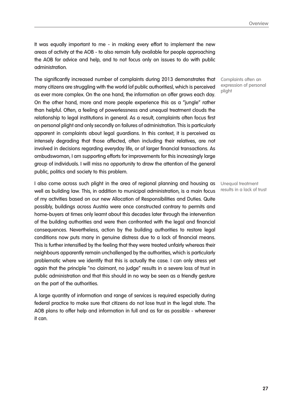It was equally important to me - in making every effort to implement the new areas of activity at the AOB - to also remain fully available for people approaching the AOB for advice and help, and to not focus only on issues to do with public administration.

The significantly increased number of complaints during 2013 demonstrates that many citizens are struggling with the world (of public authorities), which is perceived as ever more complex. On the one hand, the information on offer grows each day. On the other hand, more and more people experience this as a "jungle" rather than helpful. Often, a feeling of powerlessness and unequal treatment clouds the relationship to legal institutions in general. As a result, complaints often focus first on personal plight and only secondly on failures of administration. This is particularly apparent in complaints about legal guardians. In this context, it is perceived as intensely degrading that those affected, often including their relatives, are not involved in decisions regarding everyday life, or of larger financial transactions. As ombudswoman, I am supporting efforts for improvements for this increasingly large group of individuals. I will miss no opportunity to draw the attention of the general public, politics and society to this problem.

I also come across such plight in the area of regional planning and housing as well as building law. This, in addition to municipal administration, is a main focus of my activities based on our new Allocation of Responsibilities and Duties. Quite possibly, buildings across Austria were once constructed contrary to permits and home-buyers at times only learnt about this decades later through the intervention of the building authorities and were then confronted with the legal and financial consequences. Nevertheless, action by the building authorities to restore legal conditions now puts many in genuine distress due to a lack of financial means. This is further intensified by the feeling that they were treated unfairly whereas their neighbours apparently remain unchallenged by the authorities, which is particularly problematic where we identify that this is actually the case. I can only stress yet again that the principle "no claimant, no judge" results in a severe loss of trust in public administration and that this should in no way be seen as a friendly gesture on the part of the authorities.

A large quantity of information and range of services is required especially during federal practice to make sure that citizens do not lose trust in the legal state. The AOB plans to offer help and information in full and as far as possible - wherever it can.

Complaints often an expression of personal plight

Unequal treatment results in a lack of trust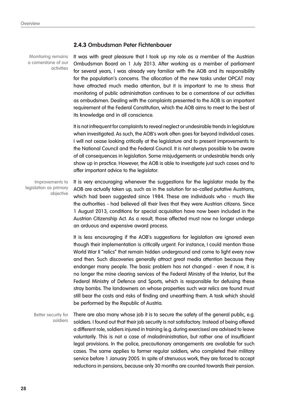Monitoring remains a cornerstone of our activities

#### **2.4.3 Ombudsman Peter Fichtenbauer**

It was with great pleasure that I took up my role as a member of the Austrian Ombudsman Board on 1 July 2013. After working as a member of parliament for several years, I was already very familiar with the AOB and its responsibility for the population's concerns. The allocation of the new tasks under OPCAT may have attracted much media attention, but it is important to me to stress that monitoring of public administration continues to be a cornerstone of our activities as ombudsmen. Dealing with the complaints presented to the AOB is an important requirement of the Federal Constitution, which the AOB aims to meet to the best of its knowledge and in all conscience.

It is not infrequent for complaints to reveal neglect or undesirable trends in legislature when investigated. As such, the AOB's work often goes far beyond individual cases. I will not cease looking critically at the legislature and to present improvements to the National Council and the Federal Council. It is not always possible to be aware of all consequences in legislation. Some misjudgements or undesirable trends only show up in practice. However, the AOB is able to investigate just such cases and to offer important advice to the legislator.

It is very encouraging whenever the suggestions for the legislator made by the AOB are actually taken up, such as in the solution for so-called putative Austrians, which had been suggested since 1984. These are individuals who - much like the authorities - had believed all their lives that they were Austrian citizens. Since 1 August 2013, conditions for special acquisition have now been included in the Austrian Citizenship Act. As a result, those affected must now no longer undergo an arduous and expensive award process. Improvements to legislation as primary objective

> It is less encouraging if the AOB's suggestions for legislation are ignored even though their implementation is critically urgent. For instance, I could mention those World War II "relics" that remain hidden underground and come to light every now and then. Such discoveries generally attract great media attention because they endanger many people. The basic problem has not changed - even if now, it is no longer the mine clearing services of the Federal Ministry of the Interior, but the Federal Ministry of Defence and Sports, which is responsible for defusing these stray bombs. The landowners on whose properties such war relics are found must still bear the costs and risks of finding and unearthing them. A task which should be performed by the Republic of Austria.

There are also many whose job it is to secure the safety of the general public, e.g. soldiers. I found out that their job security is not satisfactory. Instead of being offered a different role, soldiers injured in training (e.g. during exercises) are advised to leave voluntarily. This is not a case of maladministration, but rather one of insufficient legal provisions. In the police, precautionary arrangements are available for such cases. The same applies to former regular soldiers, who completed their military service before 1 January 2005. In spite of strenuous work, they are forced to accept reductions in pensions, because only 30 months are counted towards their pension. Better security for soldiers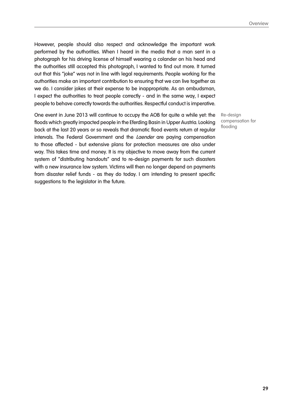However, people should also respect and acknowledge the important work performed by the authorities. When I heard in the media that a man sent in a photograph for his driving license of himself wearing a colander on his head and the authorities still accepted this photograph, I wanted to find out more. It turned out that this "joke" was not in line with legal requirements. People working for the authorities make an important contribution to ensuring that we can live together as we do. I consider jokes at their expense to be inappropriate. As an ombudsman, I expect the authorities to treat people correctly - and in the same way, I expect people to behave correctly towards the authorities. Respectful conduct is imperative.

One event in June 2013 will continue to occupy the AOB for quite a while yet: the floods which greatly impacted people in the Eferding Basin in Upper Austria. Looking back at the last 20 years or so reveals that dramatic flood events return at regular intervals. The Federal Government and the Laender are paying compensation to those affected - but extensive plans for protection measures are also under way. This takes time and money. It is my objective to move away from the current system of "distributing handouts" and to re-design payments for such disasters with a new insurance law system. Victims will then no longer depend on payments from disaster relief funds - as they do today. I am intending to present specific suggestions to the legislator in the future.

Re-design compensation for flooding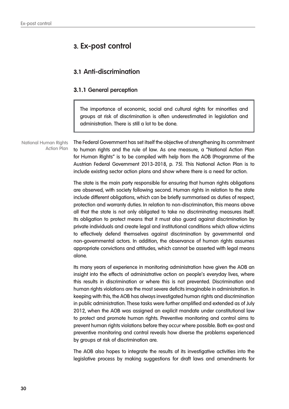## **3. Ex-post control**

## **3.1 Anti-discrimination**

#### **3.1.1 General perception**

The importance of economic, social and cultural rights for minorities and groups at risk of discrimination is often underestimated in legislation and administration. There is still a lot to be done.

The Federal Government has set itself the objective of strengthening its commitment to human rights and the rule of law. As one measure, a "National Action Plan for Human Rights" is to be compiled with help from the AOB (Programme of the Austrian Federal Government 2013-2018, p. 75). This National Action Plan is to include existing sector action plans and show where there is a need for action. National Human Rights Action Plan

> The state is the main party responsible for ensuring that human rights obligations are observed, with society following second. Human rights in relation to the state include different obligations, which can be briefly summarised as duties of respect, protection and warranty duties. In relation to non-discrimination, this means above all that the state is not only obligated to take no discriminating measures itself. Its obligation to protect means that it must also guard against discrimination by private individuals and create legal and institutional conditions which allow victims to effectively defend themselves against discrimination by governmental and non-governmental actors. In addition, the observance of human rights assumes appropriate convictions and attitudes, which cannot be asserted with legal means alone.

> Its many years of experience in monitoring administration have given the AOB an insight into the effects of administrative action on people's everyday lives, where this results in discrimination or where this is not prevented. Discrimination and human rights violations are the most severe deficits imaginable in administration. In keeping with this, the AOB has always investigated human rights and discrimination in public administration. These tasks were further amplified and extended as of July 2012, when the AOB was assigned an explicit mandate under constitutional law to protect and promote human rights. Preventive monitoring and control aims to prevent human rights violations before they occur where possible. Both ex-post and preventive monitoring and control reveals how diverse the problems experienced by groups at risk of discrimination are.

> The AOB also hopes to integrate the results of its investigative activities into the legislative process by making suggestions for draft laws and amendments for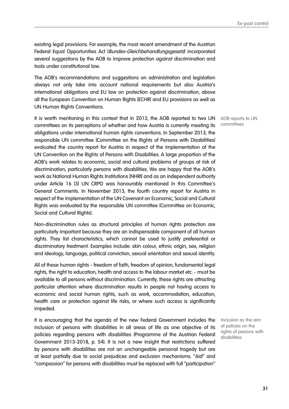existing legal provisions. For example, the most recent amendment of the Austrian Federal Equal Opportunities Act (*Bundes-Gleichbehandlungsgesetz*) incorporated several suggestions by the AOB to improve protection against discrimination and tools under constitutional law.

The AOB's recommendations and suggestions on administration and legislation always not only take into account national requirements but also Austria's international obligations and EU law on protection against discrimination, above all the European Convention on Human Rights (ECHR) and EU provisions as well as UN Human Rights Conventions.

It is worth mentioning in this context that in 2013, the AOB reported to two UN committees on its perceptions of whether and how Austria is currently meeting its obligations under international human rights conventions. In September 2013, the responsible UN committee (Committee on the Rights of Persons with Disabilities) evaluated the country report for Austria in respect of the implementation of the UN Convention on the Rights of Persons with Disabilities. A large proportion of the AOB's work relates to economic, social and cultural problems of groups at risk of discrimination, particularly persons with disabilities. We are happy that the AOB's work as National Human Rights Institutions (NHRI) and as an independent authority under Article 16 (3) UN CRPD was honourably mentioned in this Committee's General Comments. In November 2013, the fourth country report for Austria in respect of the implementation of the UN Covenant on Economic, Social and Cultural Rights was evaluated by the responsible UN committee (Committee on Economic, Social and Cultural Rights).

Non-discrimination rules as structural principles of human rights protection are particularly important because they are an indispensable component of all human rights. They list characteristics, which cannot be used to justify preferential or discriminatory treatment. Examples include: skin colour, ethnic origin, sex, religion and ideology, language, political conviction, sexual orientation and sexual identity.

All of these human rights - freedom of faith, freedom of opinion, fundamental legal rights, the right to education, health and access to the labour market etc. - must be available to all persons without discrimination. Currently, these rights are attracting particular attention where discrimination results in people not having access to economic and social human rights, such as work, accommodation, education, health care or protection against life risks, or where such access is significantly impeded.

It is encouraging that the agenda of the new Federal Government includes the inclusion of persons with disabilities in all areas of life as one objective of its policies regarding persons with disabilities (Programme of the Austrian Federal Government 2013-2018, p. 54). It is not a new insight that restrictions suffered by persons with disabilities are not an unchangeable personal tragedy but are at least partially due to social prejudices and exclusion mechanisms. "Aid" and "compassion" for persons with disabilities must be replaced with full "participation"

AOB reports to UN committees

Inclusion as the aim of policies on the rights of persons with disabilities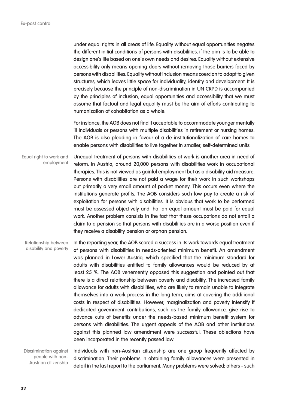under equal rights in all areas of life. Equality without equal opportunities negates the different initial conditions of persons with disabilities, if the aim is to be able to design one's life based on one's own needs and desires. Equality without extensive accessibility only means opening doors without removing those barriers faced by persons with disabilities. Equality without inclusion means coercion to adapt to given structures, which leaves little space for individuality, identity and development. It is precisely because the principle of non-discrimination in UN CRPD is accompanied by the principles of inclusion, equal opportunities and accessibility that we must assume that factual and legal equality must be the aim of efforts contributing to humanization of cohabitation as a whole.

For instance, the AOB does not find it acceptable to accommodate younger mentally ill individuals or persons with multiple disabilities in retirement or nursing homes. The AOB is also pleading in favour of a de-institutionalization of care homes to enable persons with disabilities to live together in smaller, self-determined units.

Unequal treatment of persons with disabilities at work is another area in need of reform. In Austria, around 20,000 persons with disabilities work in occupational therapies. This is not viewed as gainful employment but as a disability aid measure. Persons with disabilities are not paid a wage for their work in such workshops but primarily a very small amount of pocket money. This occurs even where the institutions generate profits. The AOB considers such low pay to create a risk of exploitation for persons with disabilities. It is obvious that work to be performed must be assessed objectively and that an equal amount must be paid for equal work. Another problem consists in the fact that these occupations do not entail a claim to a pension so that persons with disabilities are in a worse position even if they receive a disability pension or orphan pension. Equal right to work and employment

In the reporting year, the AOB scored a success in its work towards equal treatment of persons with disabilities in needs-oriented minimum benefit. An amendment was planned in Lower Austria, which specified that the minimum standard for adults with disabilities entitled to family allowances would be reduced by at least 25 %. The AOB vehemently opposed this suggestion and pointed out that there is a direct relationship between poverty and disability. The increased family allowance for adults with disabilities, who are likely to remain unable to integrate themselves into a work process in the long term, aims at covering the additional costs in respect of disabilities. However, marginalization and poverty intensify if dedicated government contributions, such as the family allowance, give rise to advance cuts of benefits under the needs-based minimum benefit system for persons with disabilities. The urgent appeals of the AOB and other institutions against this planned law amendment were successful. These objections have been incorporated in the recently passed law. Relationship between disability and poverty

Individuals with non-Austrian citizenship are one group frequently affected by discrimination. Their problems in obtaining family allowances were presented in detail in the last report to the parliament. Many problems were solved; others - such Discrimination against people with non-Austrian citizenship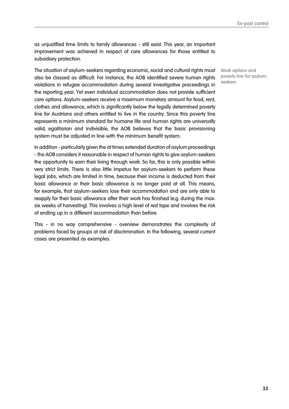as unjustified time limits to family allowances - still exist. This year, an important improvement was achieved in respect of care allowances for those entitled to subsidiary protection.

The situation of asylum-seekers regarding economic, social and cultural rights must also be classed as difficult. For instance, the AOB identified severe human rights violations in refugee accommodation during several investigative proceedings in the reporting year. Yet even individual accommodation does not provide sufficient care options. Asylum-seekers receive a maximum monetary amount for food, rent, clothes and allowance, which is significantly below the legally determined poverty line for Austrians and others entitled to live in the country. Since this poverty line represents a minimum standard for humane life and human rights are universally valid, egalitarian and indivisible, the AOB believes that the basic provisioning system must be adjusted in line with the minimum benefit system.

In addition - particularly given the at times extended duration of asylum proceedings - the AOB considers it reasonable in respect of human rights to give asylum-seekers the opportunity to earn their living through work. So far, this is only possible within very strict limits. There is also little impetus for asylum-seekers to perform these legal jobs, which are limited in time, because their income is deducted from their basic allowance or their basic allowance is no longer paid at all. This means, for example, that asylum-seekers lose their accommodation and are only able to reapply for their basic allowance after their work has finished (e.g. during the max. six weeks of harvesting). This involves a high level of red tape and involves the risk of ending up in a different accommodation than before.

This - in no way comprehensive - overview demonstrates the complexity of problems faced by groups at risk of discrimination. In the following, several current cases are presented as examples.

Work options and poverty line for asylumseekers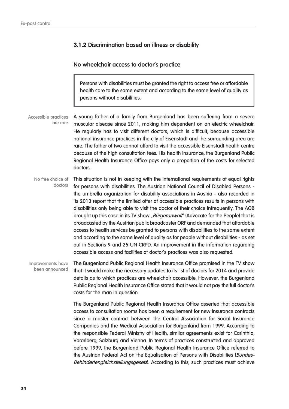#### **3.1.2 Discrimination based on illness or disability**

#### **No wheelchair access to doctor's practice**

Persons with disabilities must be granted the right to access free or affordable health care to the same extent and according to the same level of quality as persons without disabilities.

A young father of a family from Burgenland has been suffering from a severe muscular disease since 2011, making him dependent on an electric wheelchair. He regularly has to visit different doctors, which is difficult, because accessible national insurance practices in the city of Eisenstadt and the surrounding area are rare. The father of two cannot afford to visit the accessible Eisenstadt health centre because of the high consultation fees. His health insurance, the Burgenland Public Regional Health Insurance Office pays only a proportion of the costs for selected doctors. Accessible practices are rare

This situation is not in keeping with the international requirements of equal rights for persons with disabilities. The Austrian National Council of Disabled Persons the umbrella organization for disability associations in Austria - also recorded in its 2013 report that the limited offer of accessible practices results in persons with disabilities only being able to visit the doctor of their choice infrequently. The AOB brought up this case in its TV show *"Bürgeranwalt*" (Advocate for the People) that is broadcasted by the Austrian public broadcaster ORF and demanded that affordable access to health services be granted to persons with disabilities to the same extent and according to the same level of quality as for people without disabilities - as set out in Sections 9 and 25 UN CRPD. An improvement in the information regarding accessible access and facilities at doctor's practices was also requested. No free choice of doctors

The Burgenland Public Regional Health Insurance Office promised in the TV show that it would make the necessary updates to its list of doctors for 2014 and provide details as to which practices are wheelchair accessible. However, the Burgenland Public Regional Health Insurance Office stated that it would not pay the full doctor's costs for the man in question. Improvements have been announced

> The Burgenland Public Regional Health Insurance Office asserted that accessible access to consultation rooms has been a requirement for new insurance contracts since a master contract between the Central Association for Social Insurance Companies and the Medical Association for Burgenland from 1999. According to the responsible Federal Ministry of Health, similar agreements exist for Carinthia, Vorarlberg, Salzburg and Vienna. In terms of practices constructed and approved before 1999, the Burgenland Public Regional Health Insurance Office referred to the Austrian Federal Act on the Equalisation of Persons with Disabilities (Bundes-Behindertengleichstellungsgesetz). According to this, such practices must achieve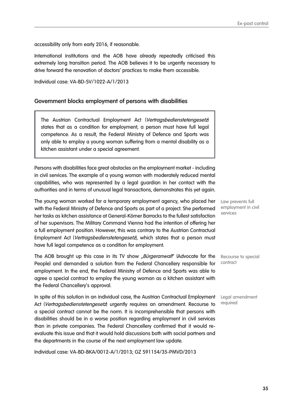accessibility only from early 2016, if reasonable.

International institutions and the AOB have already repeatedly criticised this extremely long transition period. The AOB believes it to be urgently necessary to drive forward the renovation of doctors' practices to make them accessible.

Individual case: VA-BD-SV/1022-A/1/2013

#### **Government blocks employment of persons with disabilities**

The Austrian Contractual Employment Act (Vertragsbedienstetengesetz) states that as a condition for employment, a person must have full legal competence. As a result, the Federal Ministry of Defence and Sports was only able to employ a young woman suffering from a mental disability as a kitchen assistant under a special agreement.

Persons with disabilities face great obstacles on the employment market - including in civil services. The example of a young woman with moderately reduced mental capabilities, who was represented by a legal guardian in her contact with the authorities and in terms of unusual legal transactions, demonstrates this yet again.

The young woman worked for a temporary employment agency, who placed her with the Federal Ministry of Defence and Sports as part of a project. She performed her tasks as kitchen assistance at General-Körner Barracks to the fullest satisfaction of her supervisors. The Military Command Vienna had the intention of offering her a full employment position. However, this was contrary to the Austrian Contractual Employment Act (Vertragsbedienstetengesetz), which states that a person must have full legal competence as a condition for employment.

The AOB brought up this case in its TV show *"Bürgeranwalt*" (Advocate for the People) and demanded a solution from the Federal Chancellery responsible for employment. In the end, the Federal Ministry of Defence and Sports was able to agree a special contract to employ the young woman as a kitchen assistant with the Federal Chancellery's approval.

In spite of this solution in an individual case, the Austrian Contractual Employment Act (Vertragsbedienstetengesetz) urgently requires an amendment. Recourse to a special contract cannot be the norm. It is incomprehensible that persons with disabilities should be in a worse position regarding employment in civil services than in private companies. The Federal Chancellery confirmed that it would reevaluate this issue and that it would hold discussions both with social partners and the departments in the course of the next employment law update.

Individual case: VA-BD-BKA/0012-A/1/2013; GZ S91154/35-PMVD/2013

Law prevents full employment in civil services

Recourse to special contract

Legal amendment required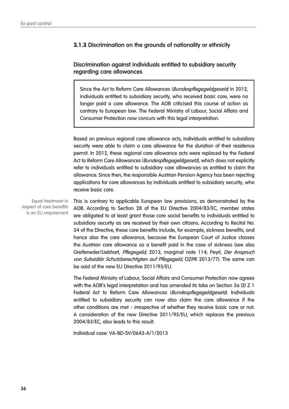#### **3.1.3 Discrimination on the grounds of nationality or ethnicity**

#### **Discrimination against individuals entitled to subsidiary security regarding care allowances**

Since the Act to Reform Care Allowances (Bundespflegegeldgesetz) in 2012, individuals entitled to subsidiary security, who received basic care, were no longer paid a care allowance. The AOB criticised this course of action as contrary to European law. The Federal Ministry of Labour, Social Affairs and Consumer Protection now concurs with this legal interpretation.

Based on previous regional care allowance acts, individuals entitled to subsidiary security were able to claim a care allowance for the duration of their residence permit. In 2012, these regional care allowance acts were replaced by the Federal Act to Reform Care Allowances (*Bundespflegegeldgesetz*), which does not explicitly refer to individuals entitled to subsidiary care allowances as entitled to claim the allowance. Since then, the responsible Austrian Pension Agency has been rejecting applications for care allowances by individuals entitled to subsidiary security, who receive basic care.

Equal treatment in respect of core benefits is an EU requirement

This is contrary to applicable European law provisions, as demonstrated by the AOB. According to Section 28 of the EU Directive 2004/83/EC, member states are obligated to at least grant those core social benefits to individuals entitled to subsidiary security as are received by their own citizens. According to Recital No. 34 of the Directive, these core benefits include, for example, sickness benefits, and hence also the care allowance, because the European Court of Justice classes the Austrian care allowance as a benefit paid in the case of sickness (see also Greifeneder/Liebhart, Pflegegeld, 2013, marginal note 114; Peyrl, Der Anspruch von Subsidiär Schutzberechtigten auf Pflegegeld, ÖZPR 2013/77). The same can be said of the new EU Directive 2011/95/EU.

The Federal Ministry of Labour, Social Affairs and Consumer Protection now agrees with the AOB's legal interpretation and has amended its take on Section 3a (2) Z 1 Federal Act to Reform Care Allowances (Bundespflegegeldgesetz). Individuals entitled to subsidiary security can now also claim the care allowance if the other conditions are met - irrespective of whether they receive basic care or not. A consideration of the new Directive 2011/95/EU, which replaces the previous 2004/83/EC, also leads to this result.

Individual case: VA-BD-SV/0643-A/1/2013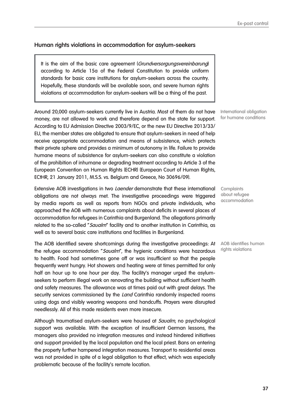## **Human rights violations in accommodation for asylum-seekers**

It is the aim of the basic care agreement (Grundversorgungsvereinbarung) according to Article 15a of the Federal Constitution to provide uniform standards for basic care institutions for asylum-seekers across the country. Hopefully, these standards will be available soon, and severe human rights violations at accommodation for asylum-seekers will be a thing of the past.

Around 20,000 asylum-seekers currently live in Austria. Most of them do not have money, are not allowed to work and therefore depend on the state for support. According to EU Admission Directive 2003/9/EC, or the new EU Directive 2013/33/ EU, the member states are obligated to ensure that asylum-seekers in need of help receive appropriate accommodation and means of subsistence, which protects their private sphere and provides a minimum of autonomy in life. Failure to provide humane means of subsistence for asylum-seekers can also constitute a violation of the prohibition of inhumane or degrading treatment according to Article 3 of the European Convention on Human Rights (ECHR) (European Court of Human Rights, ECtHR, 21 January 2011, M.S.S. vs. Belgium and Greece, No 30696/09).

Extensive AOB investigations in two Laender demonstrate that these international obligations are not always met. The investigative proceedings were triggered by media reports as well as reports from NGOs and private individuals, who approached the AOB with numerous complaints about deficits in several places of accommodation for refugees in Carinthia and Burgenland. The allegations primarily related to the so-called "Saualm" facility and to another institution in Carinthia, as well as to several basic care institutions and facilities in Burgenland.

The AOB identified severe shortcomings during the investigative proceedings: At the refugee accommodation "Saualm", the hygienic conditions were hazardous to health. Food had sometimes gone off or was insufficient so that the people frequently went hungry. Hot showers and heating were at times permitted for only half an hour up to one hour per day. The facility's manager urged the asylumseekers to perform illegal work on renovating the building without sufficient health and safety measures. The allowance was at times paid out with great delays. The security services commissioned by the *Land* Carinthia randomly inspected rooms using dogs and visibly wearing weapons and handcuffs. Prayers were disrupted needlessly. All of this made residents even more insecure.

Although traumatised asylum-seekers were housed at Saualm, no psychological support was available. With the exception of insufficient German lessons, the managers also provided no integration measures and instead hindered initiatives and support provided by the local population and the local priest. Bans on entering the property further hampered integration measures. Transport to residential areas was not provided in spite of a legal obligation to that effect, which was especially problematic because of the facility's remote location.

International obligation for humane conditions

**Complaints** about refugee accommodation

AOB identifies human rights violations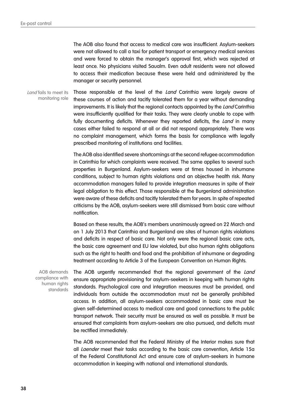The AOB also found that access to medical care was insufficient. Asylum-seekers were not allowed to call a taxi for patient transport or emergency medical services and were forced to obtain the manager's approval first, which was rejected at least once. No physicians visited Saualm. Even adult residents were not allowed to access their medication because these were held and administered by the manager or security personnel.

Those responsible at the level of the Land Carinthia were largely aware of these courses of action and tacitly tolerated them for a year without demanding improvements. It is likely that the regional contacts appointed by the Land Carinthia were insufficiently qualified for their tasks. They were clearly unable to cope with fully documenting deficits. Whenever they reported deficits, the *Land* in many cases either failed to respond at all or did not respond appropriately. There was no complaint management, which forms the basis for compliance with legally prescribed monitoring of institutions and facilities. Land fails to meet its monitoring role

> The AOB also identified severe shortcomings at the second refugee accommodation in Carinthia for which complaints were received. The same applies to several such properties in Burgenland. Asylum-seekers were at times housed in inhumane conditions, subject to human rights violations and an objective health risk. Many accommodation managers failed to provide integration measures in spite of their legal obligation to this effect. Those responsible at the Burgenland administration were aware of these deficits and tacitly tolerated them for years. In spite of repeated criticisms by the AOB, asylum-seekers were still dismissed from basic care without notification.

> Based on these results, the AOB's members unanimously agreed on 22 March and on 1 July 2013 that Carinthia and Burgenland are sites of human rights violations and deficits in respect of basic care. Not only were the regional basic care acts, the basic care agreement and EU law violated, but also human rights obligations such as the right to health and food and the prohibition of inhumane or degrading treatment according to Article 3 of the European Convention on Human Rights.

AOB demands compliance with human rights standards

The AOB urgently recommended that the regional government of the Land ensure appropriate provisioning for asylum-seekers in keeping with human rights standards. Psychological care and integration measures must be provided, and individuals from outside the accommodation must not be generally prohibited access. In addition, all asylum-seekers accommodated in basic care must be given self-determined access to medical care and good connections to the public transport network. Their security must be ensured as well as possible. It must be ensured that complaints from asylum-seekers are also pursued, and deficits must be rectified immediately.

The AOB recommended that the Federal Ministry of the Interior makes sure that all Laender meet their tasks according to the basic care convention, Article 15a of the Federal Constitutional Act and ensure care of asylum-seekers in humane accommodation in keeping with national and international standards.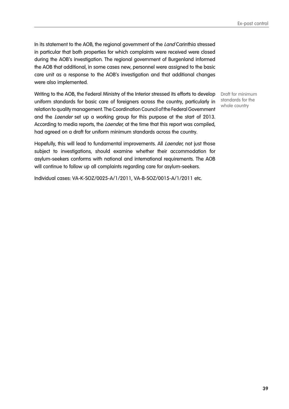In its statement to the AOB, the regional government of the Land Carinthia stressed in particular that both properties for which complaints were received were closed during the AOB's investigation. The regional government of Burgenland informed the AOB that additional, in some cases new, personnel were assigned to the basic care unit as a response to the AOB's investigation and that additional changes were also implemented.

Writing to the AOB, the Federal Ministry of the Interior stressed its efforts to develop uniform standards for basic care of foreigners across the country, particularly in relation to quality management. The Coordination Council of the Federal Government and the Laender set up a working group for this purpose at the start of 2013. According to media reports, the Laender, at the time that this report was compiled, had agreed on a draft for uniform minimum standards across the country.

Draft for minimum standards for the whole country

Hopefully, this will lead to fundamental improvements. All Laender, not just those subject to investigations, should examine whether their accommodation for asylum-seekers conforms with national and international requirements. The AOB will continue to follow up all complaints regarding care for asylum-seekers.

Individual cases: VA-K-SOZ/0025-A/1/2011, VA-B-SOZ/0015-A/1/2011 etc.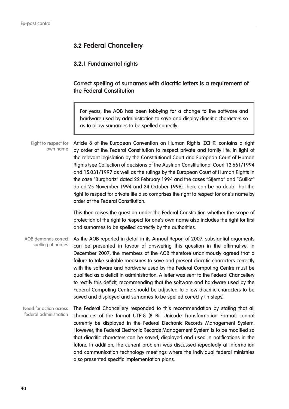## **3.2 Federal Chancellery**

#### **3.2.1 Fundamental rights**

**Correct spelling of surnames with diacritic letters is a requirement of the Federal Constitution**

For years, the AOB has been lobbying for a change to the software and hardware used by administration to save and display diacritic characters so as to allow surnames to be spelled correctly.

Article 8 of the European Convention on Human Rights (ECHR) contains a right by order of the Federal Constitution to respect private and family life. In light of the relevant legislation by the Constitutional Court and European Court of Human Rights (see Collection of decisions of the Austrian Constitutional Court 13.661/1994 and 15.031/1997 as well as the rulings by the European Court of Human Rights in the case "Burghartz" dated 22 February 1994 and the cases "Stjerna" and "Guillot" dated 25 November 1994 and 24 October 1996), there can be no doubt that the right to respect for private life also comprises the right to respect for one's name by order of the Federal Constitution. Right to respect for own name

> This then raises the question under the Federal Constitution whether the scope of protection of the right to respect for one's own name also includes the right for first and surnames to be spelled correctly by the authorities.

As the AOB reported in detail in its Annual Report of 2007, substantial arguments can be presented in favour of answering this question in the affirmative. In December 2007, the members of the AOB therefore unanimously agreed that a failure to take suitable measures to save and present diacritic characters correctly with the software and hardware used by the Federal Computing Centre must be qualified as a deficit in administration. A letter was sent to the Federal Chancellery to rectify this deficit, recommending that the software and hardware used by the Federal Computing Centre should be adjusted to allow diacritic characters to be saved and displayed and surnames to be spelled correctly (in steps). AOB demands correct spelling of names

The Federal Chancellery responded to this recommendation by stating that all characters of the format UTF-8 (8 Bit Unicode Transformation Format) cannot currently be displayed in the Federal Electronic Records Management System. However, the Federal Electronic Records Management System is to be modified so that diacritic characters can be saved, displayed and used in notifications in the future. In addition, the current problem was discussed repeatedly at information and communication technology meetings where the individual federal ministries also presented specific implementation plans. Need for action across federal administration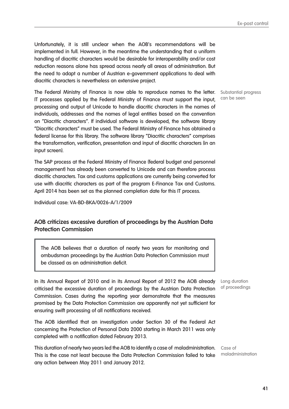Ex-post control

Unfortunately, it is still unclear when the AOB's recommendations will be implemented in full. However, in the meantime the understanding that a uniform handling of diacritic characters would be desirable for interoperability and/or cost reduction reasons alone has spread across nearly all areas of administration. But the need to adapt a number of Austrian e-government applications to deal with diacritic characters is nevertheless an extensive project.

The Federal Ministry of Finance is now able to reproduce names to the letter. IT processes applied by the Federal Ministry of Finance must support the input, processing and output of Unicode to handle diacritic characters in the names of individuals, addresses and the names of legal entities based on the convention on "Diacritic characters". If individual software is developed, the software library "Diacritic characters" must be used. The Federal Ministry of Finance has obtained a federal license for this library. The software library "Diacritic characters" comprises the transformation, verification, presentation and input of diacritic characters (in an input screen).

The SAP process at the Federal Ministry of Finance (federal budget and personnel management) has already been converted to Unicode and can therefore process diacritic characters. Tax and customs applications are currently being converted for use with diacritic characters as part of the program E-Finance Tax and Customs. April 2014 has been set as the planned completion date for this IT process.

Individual case: VA-BD-BKA/0026-A/1/2009

#### **AOB criticizes excessive duration of proceedings by the Austrian Data Protection Commission**

The AOB believes that a duration of nearly two years for monitoring and ombudsman proceedings by the Austrian Data Protection Commission must be classed as an administration deficit.

In its Annual Report of 2010 and in its Annual Report of 2012 the AOB already criticised the excessive duration of proceedings by the Austrian Data Protection Commission. Cases during the reporting year demonstrate that the measures promised by the Data Protection Commission are apparently not yet sufficient for ensuring swift processing of all notifications received.

The AOB identified that an investigation under Section 30 of the Federal Act concerning the Protection of Personal Data 2000 starting in March 2011 was only completed with a notification dated February 2013.

This duration of nearly two years led the AOB to identify a case of maladministration. This is the case not least because the Data Protection Commission failed to take any action between May 2011 and January 2012.

Substantial progress can be seen

Long duration of proceedings

Case of maladministration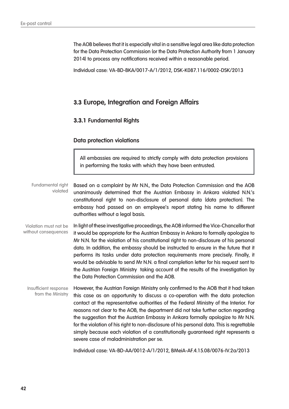The AOB believes that it is especially vital in a sensitive legal area like data protection for the Data Protection Commission (or the Data Protection Authority from 1 January 2014) to process any notifications received within a reasonable period.

Individual case: VA-BD-BKA/0017-A/1/2012, DSK-K087.116/0002-DSK/2013

#### **3.3 Europe, Integration and Foreign Affairs**

#### **3.3.1 Fundamental Rights**

#### **Data protection violations**

All embassies are required to strictly comply with data protection provisions in performing the tasks with which they have been entrusted.

Based on a complaint by Mr N.N., the Data Protection Commission and the AOB unanimously determined that the Austrian Embassy in Ankara violated N.N.'s constitutional right to non-disclosure of personal data (data protection). The embassy had passed on an employee's report stating his name to different authorities without a legal basis. Fundamental right violated

In light of these investigative proceedings, the AOB informed the Vice-Chancellor that it would be appropriate for the Austrian Embassy in Ankara to formally apologize to Mr N.N. for the violation of his constitutional right to non-disclosure of his personal data. In addition, the embassy should be instructed to ensure in the future that it performs its tasks under data protection requirements more precisely. Finally, it would be advisable to send Mr N.N. a final completion letter for his request sent to the Austrian Foreign Ministry taking account of the results of the investigation by the Data Protection Commission and the AOB. Violation must not be without consequences

However, the Austrian Foreign Ministry only confirmed to the AOB that it had taken this case as an opportunity to discuss a co-operation with the data protection contact at the representative authorities of the Federal Ministry of the Interior. For reasons not clear to the AOB, the department did not take further action regarding the suggestion that the Austrian Embassy in Ankara formally apologize to Mr N.N. for the violation of his right to non-disclosure of his personal data. This is regrettable simply because each violation of a constitutionally guaranteed right represents a severe case of maladministration per se. Insufficient response from the Ministry

Individual case: VA-BD-AA/0012-A/1/2012, BMeiA-AF.4.15.08/0076-IV.2a/2013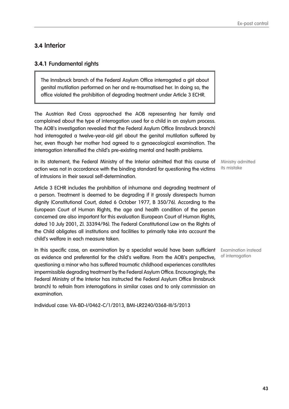#### **3.4 Interior**

#### **3.4.1 Fundamental rights**

The Innsbruck branch of the Federal Asylum Office interrogated a girl about genital mutilation performed on her and re-traumatised her. In doing so, the office violated the prohibition of degrading treatment under Article 3 ECHR.

The Austrian Red Cross approached the AOB representing her family and complained about the type of interrogation used for a child in an asylum process. The AOB's investigation revealed that the Federal Asylum Office (Innsbruck branch) had interrogated a twelve-year-old girl about the genital mutilation suffered by her, even though her mother had agreed to a gynaecological examination. The interrogation intensified the child's pre-existing mental and health problems.

In its statement, the Federal Ministry of the Interior admitted that this course of action was not in accordance with the binding standard for questioning the victims of intrusions in their sexual self-determination.

Article 3 ECHR includes the prohibition of inhumane and degrading treatment of a person. Treatment is deemed to be degrading if it grossly disrespects human dignity (Constitutional Court, dated 6 October 1977, B 350/76). According to the European Court of Human Rights, the age and health condition of the person concerned are also important for this evaluation (European Court of Human Rights, dated 10 July 2001, Zl. 33394/96). The Federal Constitutional Law on the Rights of the Child obligates all institutions and facilities to primarily take into account the child's welfare in each measure taken.

In this specific case, an examination by a specialist would have been sufficient as evidence and preferential for the child's welfare. From the AOB's perspective, questioning a minor who has suffered traumatic childhood experiences constitutes impermissible degrading treatment by the Federal Asylum Office. Encouragingly, the Federal Ministry of the Interior has instructed the Federal Asylum Office (Innsbruck branch) to refrain from interrogations in similar cases and to only commission an examination.

Individual case: VA-BD-I/0462-C/1/2013, BMI-LR2240/0368-III/5/2013

Ministry admitted its mistake

Examination instead of interrogation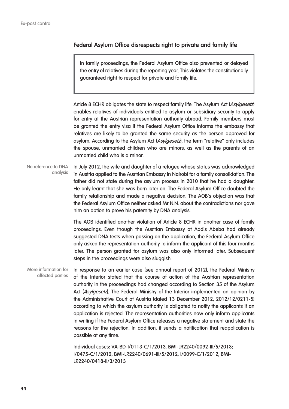#### **Federal Asylum Office disrespects right to private and family life**

In family proceedings, the Federal Asylum Office also prevented or delayed the entry of relatives during the reporting year. This violates the constitutionally guaranteed right to respect for private and family life.

Article 8 ECHR obligates the state to respect family life. The Asylum Act (Asylgesetz) enables relatives of individuals entitled to asylum or subsidiary security to apply for entry at the Austrian representation authority abroad. Family members must be granted the entry visa if the Federal Asylum Office informs the embassy that relatives are likely to be granted the same security as the person approved for asylum. According to the Asylum Act (Asylgesetz), the term "relative" only includes the spouse, unmarried children who are minors, as well as the parents of an unmarried child who is a minor.

In July 2012, the wife and daughter of a refugee whose status was acknowledged in Austria applied to the Austrian Embassy in Nairobi for a family consolidation. The father did not state during the asylum process in 2010 that he had a daughter. He only learnt that she was born later on. The Federal Asylum Office doubted the family relationship and made a negative decision. The AOB's objection was that the Federal Asylum Office neither asked Mr N.N. about the contradictions nor gave him an option to prove his paternity by DNA analysis. No reference to DNA analysis

> The AOB identified another violation of Article 8 ECHR in another case of family proceedings. Even though the Austrian Embassy at Addis Abeba had already suggested DNA tests when passing on the application, the Federal Asylum Office only asked the representation authority to inform the applicant of this four months later. The person granted for asylum was also only informed later. Subsequent steps in the proceedings were also sluggish.

In response to an earlier case (see annual report of 2012), the Federal Ministry of the Interior stated that the course of action of the Austrian representation authority in the proceedings had changed according to Section 35 of the Asylum Act (*Asylgesetz*). The Federal Ministry of the Interior implemented an opinion by the Administrative Court of Austria (dated 13 December 2012, 2012/12/0211-5) according to which the asylum authority is obligated to notify the applicants if an application is rejected. The representation authorities now only inform applicants in writing if the Federal Asylum Office releases a negative statement and state the reasons for the rejection. In addition, it sends a notification that reapplication is possible at any time. More information for affected parties

> Individual cases: VA-BD-I/0113-C/1/2013, BMI-LR2240/0092-III/5/2013; I/0475-C/1/2012, BMI-LR2240/0691-III/5/2012, I/0099-C/1/2012, BMI-LR2240/0418-II/3/2013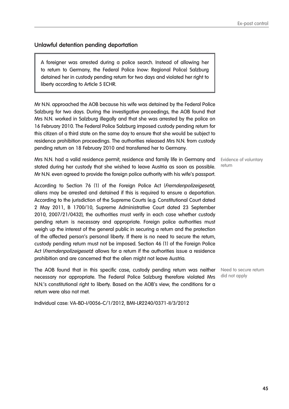#### **Unlawful detention pending deportation**

A foreigner was arrested during a police search. Instead of allowing her to return to Germany, the Federal Police (now: Regional Police) Salzburg detained her in custody pending return for two days and violated her right to liberty according to Article 5 ECHR.

Mr N.N. approached the AOB because his wife was detained by the Federal Police Salzburg for two days. During the investigative proceedings, the AOB found that Mrs N.N. worked in Salzburg illegally and that she was arrested by the police on 16 February 2010. The Federal Police Salzburg imposed custody pending return for this citizen of a third state on the same day to ensure that she would be subject to residence prohibition proceedings. The authorities released Mrs N.N. from custody pending return on 18 February 2010 and transferred her to Germany.

Mrs N.N. had a valid residence permit, residence and family life in Germany and stated during her custody that she wished to leave Austria as soon as possible. Mr N.N. even agreed to provide the foreign police authority with his wife's passport.

According to Section 76 (1) of the Foreign Police Act (Fremdenpolizeigesetz), aliens may be arrested and detained if this is required to ensure a deportation. According to the jurisdiction of the Supreme Courts (e.g. Constitutional Court dated 2 May 2011, B 1700/10, Supreme Administrative Court dated 23 September 2010, 2007/21/0432), the authorities must verify in each case whether custody pending return is necessary and appropriate. Foreign police authorities must weigh up the interest of the general public in securing a return and the protection of the affected person's personal liberty. If there is no need to secure the return, custody pending return must not be imposed. Section 46 (1) of the Foreign Police Act (*Fremdenpolizeigesetz*) allows for a return if the authorities issue a residence prohibition and are concerned that the alien might not leave Austria.

The AOB found that in this specific case, custody pending return was neither necessary nor appropriate. The Federal Police Salzburg therefore violated Mrs N.N.'s constitutional right to liberty. Based on the AOB's view, the conditions for a return were also not met.

Individual case: VA-BD-I/0056-C/1/2012, BMI-LR2240/0371-II/3/2012

Evidence of voluntary return

Need to secure return did not apply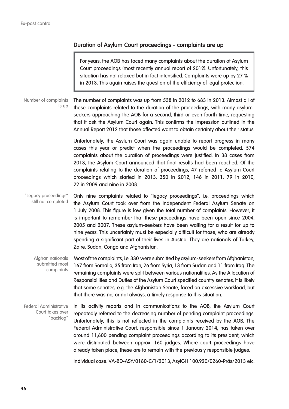#### **Duration of Asylum Court proceedings - complaints are up**

For years, the AOB has faced many complaints about the duration of Asylum Court proceedings (most recently annual report of 2012). Unfortunately, this situation has not relaxed but in fact intensified. Complaints were up by 27 % in 2013. This again raises the question of the efficiency of legal protection.

The number of complaints was up from 538 in 2012 to 683 in 2013. Almost all of these complaints related to the duration of the proceedings, with many asylumseekers approaching the AOB for a second, third or even fourth time, requesting that it ask the Asylum Court again. This confirms the impression outlined in the Annual Report 2012 that those affected want to obtain certainty about their status. Number of complaints is up

> Unfortunately, the Asylum Court was again unable to report progress in many cases this year or predict when the proceedings would be completed. 574 complaints about the duration of proceedings were justified. In 38 cases from 2013, the Asylum Court announced that final results had been reached. Of the complaints relating to the duration of proceedings, 47 referred to Asylum Court proceedings which started in 2013, 350 in 2012, 146 in 2011, 79 in 2010, 22 in 2009 and nine in 2008.

Only nine complaints related to "legacy proceedings", i.e. proceedings which the Asylum Court took over from the Independent Federal Asylum Senate on 1 July 2008. This figure is low given the total number of complaints. However, it is important to remember that these proceedings have been open since 2004, 2005 and 2007. These asylum-seekers have been waiting for a result for up to nine years. This uncertainty must be especially difficult for those, who are already spending a significant part of their lives in Austria. They are nationals of Turkey, Zaire, Sudan, Congo and Afghanistan. "Legacy proceedings" still not completed

Most of the complaints, i.e. 330 were submitted by asylum-seekers from Afghanistan, 167 from Somalia, 35 from Iran, 26 from Syria, 13 from Sudan and 11 from Iraq. The remaining complaints were split between various nationalities. As the Allocation of Responsibilities and Duties of the Asylum Court specified country senates, it is likely that some senates, e.g. the Afghanistan Senate, faced an excessive workload, but that there was no, or not always, a timely response to this situation. Afghan nationals submitted most complaints

In its activity reports and in communications to the AOB, the Asylum Court repeatedly referred to the decreasing number of pending complaint proceedings. Unfortunately, this is not reflected in the complaints received by the AOB. The Federal Administrative Court, responsible since 1 January 2014, has taken over around 11,600 pending complaint proceedings according to its president, which were distributed between approx. 160 judges. Where court proceedings have already taken place, these are to remain with the previously responsible judges. Federal Administrative Court takes over "backlog"

Individual case: VA-BD-ASY/0180-C/1/2013, AsylGH 100.920/0260-Präs/2013 etc.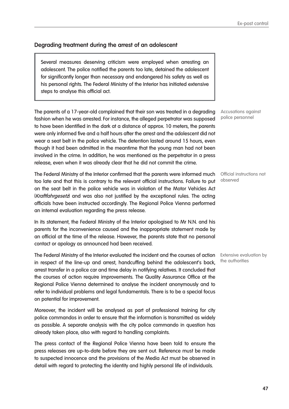#### **Degrading treatment during the arrest of an adolescent**

Several measures deserving criticism were employed when arresting an adolescent. The police notified the parents too late, detained the adolescent for significantly longer than necessary and endangered his safety as well as his personal rights. The Federal Ministry of the Interior has initiated extensive steps to analyse this official act.

The parents of a 17-year-old complained that their son was treated in a degrading fashion when he was arrested. For instance, the alleged perpetrator was supposed to have been identified in the dark at a distance of approx. 10 meters, the parents were only informed five and a half hours after the arrest and the adolescent did not wear a seat belt in the police vehicle. The detention lasted around 15 hours, even though it had been admitted in the meantime that the young man had not been involved in the crime. In addition, he was mentioned as the perpetrator in a press release, even when it was already clear that he did not commit the crime.

The Federal Ministry of the Interior confirmed that the parents were informed much Official instructions not too late and that this is contrary to the relevant official instructions. Failure to put on the seat belt in the police vehicle was in violation of the Motor Vehicles Act (Kraftfahrgesetz) and was also not justified by the exceptional rules. The acting officials have been instructed accordingly. The Regional Police Vienna performed an internal evaluation regarding the press release.

In its statement, the Federal Ministry of the Interior apologised to Mr N.N. and his parents for the inconvenience caused and the inappropriate statement made by an official at the time of the release. However, the parents state that no personal contact or apology as announced had been received.

The Federal Ministry of the Interior evaluated the incident and the courses of action Extensive evaluation by in respect of the line-up and arrest, handcuffing behind the adolescent's back, arrest transfer in a police car and time delay in notifying relatives. It concluded that the courses of action require improvements. The Quality Assurance Office at the Regional Police Vienna determined to analyse the incident anonymously and to refer to individual problems and legal fundamentals. There is to be a special focus on potential for improvement.

Moreover, the incident will be analysed as part of professional training for city police commandos in order to ensure that the information is transmitted as widely as possible. A separate analysis with the city police commando in question has already taken place, also with regard to handling complaints.

The press contact of the Regional Police Vienna have been told to ensure the press releases are up-to-date before they are sent out. Reference must be made to suspected innocence and the provisions of the Media Act must be observed in detail with regard to protecting the identity and highly personal life of individuals.

Accusations against police personnel

observed

the authorities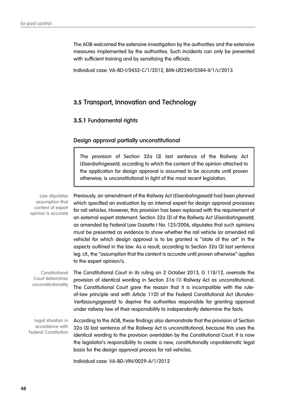The AOB welcomed the extensive investigation by the authorities and the extensive measures implemented by the authorities. Such incidents can only be prevented with sufficient training and by sensitizing the officials.

Individual case: VA-BD-I/0452-C/1/2012, BMI-LR2240/0384-II/1/c/2013

#### **3.5 Transport, Innovation and Technology**

#### **3.5.1 Fundamental rights**

#### **Design approval partially unconstitutional**

The provision of Section 32a (3) last sentence of the Railway Act (Eisenbahngesetz), according to which the content of the opinion attached to the application for design approval is assumed to be accurate until proven otherwise, is unconstitutional in light of the most recent legislation.

Law stipulates assumption that content of expert opinion is accurate

Previously, an amendment of the Railway Act (Eisenbahngesetz) had been planned which specified an evaluation by an internal expert for design approval processes for rail vehicles. However, this provision has been replaced with the requirement of an external expert statement. Section 32a (3) of the Railway Act (*Eisenbahngesetz*), as amended by Federal Law Gazette I No. 125/2006, stipulates that such opinions must be presented as evidence to show whether the rail vehicle (or amended rail vehicle) for which design approval is to be granted is "state of the art" in the aspects outlined in the law. As a result, according to Section 32a (3) last sentence leg. cit., the "assumption that the content is accurate until proven otherwise" applies to the expert opinion/s.

The Constitutional Court in its ruling on 2 October 2013, G 118/12, overrode the provision of identical wording in Section 31a (1) Railway Act as unconstitutional. The Constitutional Court gave the reason that it is incompatible with the ruleof-law principle and with Article 11(2) of the Federal Constitutional Act (Bundes-Verfassungsgesetz to deprive the authorities responsible for granting approval under railway law of their responsibility to independently determine the facts. **Constitutional** Court determines unconstitutionality

According to the AOB, these findings also demonstrate that the provision of Section 32a (3) last sentence of the Railway Act is unconstitutional, because this uses the identical wording to the provision overridden by the Constitutional Court. It is now the legislator's responsibility to create a new, constitutionally unproblematic legal basis for the design approval process for rail vehicles. Legal situation in accordance with Federal Constitution

Individual case: VA-BD-VIN/0029-A/1/2012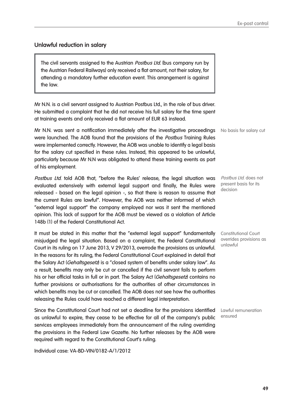#### **Unlawful reduction in salary**

The civil servants assigned to the Austrian *Postbus Ltd.* (bus company run by the Austrian Federal Railways) only received a flat amount, not their salary, for attending a mandatory further education event. This arrangement is against the law.

Mr N.N. is a civil servant assigned to Austrian Postbus Ltd., in the role of bus driver. He submitted a complaint that he did not receive his full salary for the time spent at training events and only received a flat amount of EUR 63 instead.

Mr N.N. was sent a notification immediately after the investigative proceedings No basis for salary cut were launched. The AOB found that the provisions of the *Postbus* Training Rules were implemented correctly. However, the AOB was unable to identify a legal basis for the salary cut specified in these rules. Instead, this appeared to be unlawful, particularly because Mr N.N was obligated to attend these training events as part of his employment.

Postbus Ltd. told AOB that, "before the Rules' release, the legal situation was evaluated extensively with external legal support and finally, the Rules were released - based on the legal opinion -, so that there is reason to assume that the current Rules are lawful". However, the AOB was neither informed of which "external legal support" the company employed nor was it sent the mentioned opinion. This lack of support for the AOB must be viewed as a violation of Article 148b (1) of the Federal Constitutional Act.

It must be stated in this matter that the "external legal support" fundamentally misjudged the legal situation. Based on a complaint, the Federal Constitutional Court in its ruling on 17 June 2013, V 29/2013, overrode the provisions as unlawful. In the reasons for its ruling, the Federal Constitutional Court explained in detail that the Salary Act (Gehaltsgesetz) is a "closed system of benefits under salary law". As a result, benefits may only be cut or cancelled if the civil servant fails to perform his or her official tasks in full or in part. The Salary Act (Gehaltsgesetz) contains no further provisions or authorisations for the authorities of other circumstances in which benefits may be cut or cancelled. The AOB does not see how the authorities releasing the Rules could have reached a different legal interpretation.

Since the Constitutional Court had not set a deadline for the provisions identified Lawful remuneration as unlawful to expire, they cease to be effective for all of the company's public services employees immediately from the announcement of the ruling overriding the provisions in the Federal Law Gazette. No further releases by the AOB were required with regard to the Constitutional Court's ruling.

Individual case: VA-BD-VIN/0182-A/1/2012

present basis for its decision

Postbus Ltd. does not

Constitutional Court overrides provisions as unlawful

ensured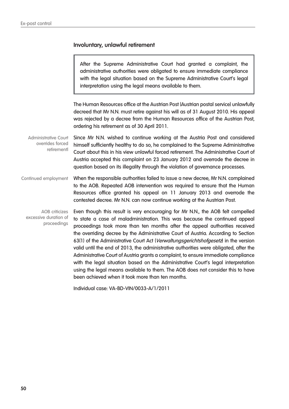#### **Involuntary, unlawful retirement**

After the Supreme Administrative Court had granted a complaint, the administrative authorities were obligated to ensure immediate compliance with the legal situation based on the Supreme Administrative Court's legal interpretation using the legal means available to them.

The Human Resources office at the Austrian Post (Austrian postal service) unlawfully decreed that Mr N.N. must retire against his will as of 31 August 2010. His appeal was rejected by a decree from the Human Resources office of the Austrian Post, ordering his retirement as of 30 April 2011.

Since Mr N.N. wished to continue working at the Austria Post and considered himself sufficiently healthy to do so, he complained to the Supreme Administrative Court about this in his view unlawful forced retirement. The Administrative Court of Austria accepted this complaint on 23 January 2012 and overrode the decree in question based on its illegality through the violation of governance processes. Administrative Court overrides forced retirementl

When the responsible authorities failed to issue a new decree, Mr N.N. complained to the AOB. Repeated AOB intervention was required to ensure that the Human Resources office granted his appeal on 11 January 2013 and overrode the contested decree. Mr N.N. can now continue working at the Austrian Post. Continued employment

Even though this result is very encouraging for Mr N.N., the AOB felt compelled to state a case of maladministration. This was because the continued appeal proceedings took more than ten months after the appeal authorities received the overriding decree by the Administrative Court of Austria. According to Section 63(1) of the Administrative Court Act (Verwaltungsgerichtshofgesetz) in the version valid until the end of 2013, the administrative authorities were obligated, after the Administrative Court of Austria grants a complaint, to ensure immediate compliance with the legal situation based on the Administrative Court's legal interpretation using the legal means available to them. The AOB does not consider this to have been achieved when it took more than ten months. AOB criticizes excessive duration of proceedings

Individual case: VA-BD-VIN/0033-A/1/2011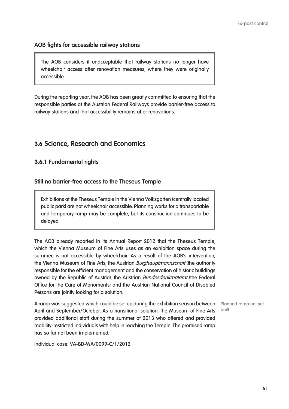#### **AOB fights for accessible railway stations**

The AOB considers it unacceptable that railway stations no longer have wheelchair access after renovation measures, where they were originally accessible.

During the reporting year, the AOB has been greatly committed to ensuring that the responsible parties at the Austrian Federal Railways provide barrier-free access to railway stations and that accessibility remains after renovations.

### **3.6 Science, Research and Economics**

#### **3.6.1 Fundamental rights**

#### **Still no barrier-free access to the Theseus Temple**

Exhibitions at the Theseus Temple in the Vienna Volksgarten (centrally located public park) are not wheelchair accessible. Planning works for a transportable and temporary ramp may be complete, but its construction continues to be delayed.

The AOB already reported in its Annual Report 2012 that the Theseus Temple, which the Vienna Museum of Fine Arts uses as an exhibition space during the summer, is not accessible by wheelchair. As a result of the AOB's intervention, the Vienna Museum of Fine Arts, the Austrian *Burghauptmannschaft* (the authority responsible for the efficient management and the conservation of historic buildings owned by the Republic of Austria), the Austrian *Bundesdenkmalamt* (the Federal Office for the Care of Monuments) and the Austrian National Council of Disabled Persons are jointly looking for a solution.

built

A ramp was suggested which could be set up during the exhibition season between Planned ramp not yet April and September/October. As a transitional solution, the Museum of Fine Arts provided additional staff during the summer of 2013 who offered and provided mobility-restricted individuals with help in reaching the Temple. The promised ramp has so far not been implemented.

Individual case: VA-BD-WA/0099-C/1/2012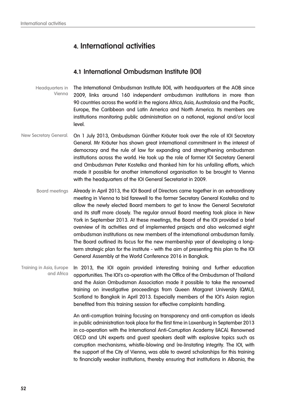## **4. International activities**

## **4.1 International Ombudsman Institute (IOI)**

The International Ombudsman Institute (IOI), with headquarters at the AOB since 2009, links around 160 independent ombudsman institutions in more than 90 countries across the world in the regions Africa, Asia, Australasia and the Pacific, Europe, the Caribbean and Latin America and North America. Its members are institutions monitoring public administration on a national, regional and/or local level. Headquarters in Vienna

- On 1 July 2013, Ombudsman Günther Kräuter took over the role of IOI Secretary General. Mr Kräuter has shown great international commitment in the interest of democracy and the rule of law for expanding and strengthening ombudsman institutions across the world. He took up the role of former IOI Secretary General and Ombudsman Peter Kostelka and thanked him for his unfailing efforts, which made it possible for another international organisation to be brought to Vienna with the headquarters of the IOI General Secretariat in 2009. New Secretary General.
	- Already in April 2013, the IOI Board of Directors came together in an extraordinary meeting in Vienna to bid farewell to the former Secretary General Kostelka and to allow the newly elected Board members to get to know the General Secretariat and its staff more closely. The regular annual Board meeting took place in New York in September 2013. At these meetings, the Board of the IOI provided a brief overview of its activities and of implemented projects and also welcomed eight ombudsman institutions as new members of the international ombudsman family. The Board outlined its focus for the new membership year of developing a longterm strategic plan for the institute - with the aim of presenting this plan to the IOI General Assembly at the World Conference 2016 in Bangkok. Board meetings

In 2013, the IOI again provided interesting training and further education opportunities. The IOI's co-operation with the Office of the Ombudsman of Thailand and the Asian Ombudsman Association made it possible to take the renowned training on investigative proceedings from Queen Margaret University (QMU), Scotland to Bangkok in April 2013. Especially members of the IOI's Asian region benefited from this training session for effective complaints handling. Training in Asia, Europe and Africa

> An anti-corruption training focusing on transparency and anti-corruption as ideals in public administration took place for the first time in Laxenburg in September 2013 in co-operation with the International Anti-Corruption Academy (IACA). Renowned OECD and UN experts and guest speakers dealt with explosive topics such as corruption mechanisms, whistle-blowing and (re-)instating integrity. The IOI, with the support of the City of Vienna, was able to award scholarships for this training to financially weaker institutions, thereby ensuring that institutions in Albania, the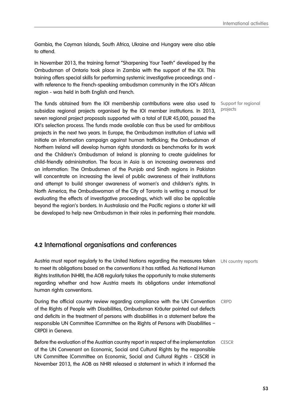Gambia, the Cayman Islands, South Africa, Ukraine and Hungary were also able to attend.

In November 2013, the training format "Sharpening Your Teeth" developed by the Ombudsman of Ontario took place in Zambia with the support of the IOI. This training offers special skills for performing systemic investigative proceedings and with reference to the French-speaking ombudsman community in the IOI's African region - was held in both English and French.

The funds obtained from the IOI membership contributions were also used to subsidize regional projects organised by the IOI member institutions. In 2013, seven regional project proposals supported with a total of EUR 45,000, passed the IOI's selection process. The funds made available can thus be used for ambitious projects in the next two years. In Europe, the Ombudsman institution of Latvia will initiate an information campaign against human trafficking; the Ombudsman of Northern Ireland will develop human rights standards as benchmarks for its work and the Children's Ombudsman of Ireland is planning to create guidelines for child-friendly administration. The focus in Asia is on increasing awareness and on information: The Ombudsmen of the Punjab and Sindh regions in Pakistan will concentrate on increasing the level of public awareness of their institutions and attempt to build stronger awareness of women's and children's rights. In North America, the Ombudswoman of the City of Toronto is writing a manual for evaluating the effects of investigative proceedings, which will also be applicable beyond the region's borders. In Australasia and the Pacific regions a starter kit will be developed to help new Ombudsman in their roles in performing their mandate.

## **4.2 International organisations and conferences**

Austria must report regularly to the United Nations regarding the measures taken UN country reports to meet its obligations based on the conventions it has ratified. As National Human Rights Institution (NHRI), the AOB regularly takes the opportunity to make statements regarding whether and how Austria meets its obligations under international human rights conventions.

During the official country review regarding compliance with the UN Convention CRPD of the Rights of People with Disabilities, Ombudsman Kräuter pointed out defects and deficits in the treatment of persons with disabilities in a statement before the responsible UN Committee (Committee on the Rights of Persons with Disabilities – CRPD) in Geneva.

Before the evaluation of the Austrian country report in respect of the implementation CESCR of the UN Convenant on Economic, Social and Cultural Rights by the responsible UN Committee (Committee on Economic, Social and Cultural Rights - CESCR) in November 2013, the AOB as NHRI released a statement in which it informed the

Support for regional projects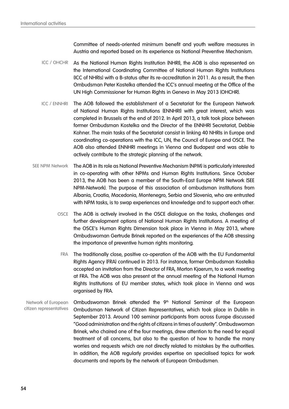Committee of needs-oriented minimum benefit and youth welfare measures in Austria and reported based on its experience as National Preventive Mechanism.

- As the National Human Rights Institution (NHRI), the AOB is also represented on the International Coordinating Committee of National Human Rights Institutions (ICC of NHRIs) with a B-status after its re-accreditation in 2011. As a result, the then Ombudsman Peter Kostelka attended the ICC's annual meeting at the Office of the UN High Commissioner for Human Rights in Geneva in May 2013 (OHCHR). ICC / OHCHR
- The AOB followed the establishment of a Secretariat for the European Network of National Human Rights Institutions (ENNHRI) with great interest, which was completed in Brussels at the end of 2012. In April 2013, a talk took place between former Ombudsman Kostelka and the Director of the ENNHRI Secretariat, Debbie Kohner. The main tasks of the Secretariat consist in linking 40 NHRIs in Europe and coordinating co-operations with the ICC, UN, the Council of Europe and OSCE. The AOB also attended ENNHRI meetings in Vienna and Budapest and was able to actively contribute to the strategic planning of the network. ICC / ENNHRI
- The AOB in its role as National Preventive Mechanism (NPM) is particularly interested in co-operating with other NPMs and Human Rights Institutions. Since October 2013, the AOB has been a member of the South-East Europe NPM Network (SEE NPM-Network). The purpose of this association of ombudsman institutions from Albania, Croatia, Macedonia, Montenegro, Serbia and Slovenia, who are entrusted with NPM tasks, is to swap experiences and knowledge and to support each other. SEE NPM Network
	- OSCE The AOB is actively involved in the OSCE dialogue on the tasks, challenges and further development options of National Human Rights Institutions. A meeting of the OSCE's Human Rights Dimension took place in Vienna in May 2013, where Ombudswoman Gertrude Brinek reported on the experiences of the AOB stressing the importance of preventive human rights monitoring.
		- FRA The traditionally close, positive co-operation of the AOB with the EU Fundamental Rights Agency (FRA) continued in 2013. For instance, former Ombudsman Kostelka accepted an invitation from the Director of FRA, Morton Kjaerum, to a work meeting at FRA. The AOB was also present at the annual meeting of the National Human Rights Institutions of EU member states, which took place in Vienna and was organised by FRA.
- Ombudswoman Brinek attended the 9<sup>th</sup> National Seminar of the European Ombudsman Network of Citizen Representatives, which took place in Dublin in September 2013. Around 100 seminar participants from across Europe discussed "Good administration and the rights of citizens in times of austerity". Ombudswoman Brinek, who chaired one of the four meetings, drew attention to the need for equal treatment of all concerns, but also to the question of how to handle the many worries and requests which are not directly related to mistakes by the authorities. In addition, the AOB regularly provides expertise on specialised topics for work documents and reports by the network of European Ombudsmen. Network of European citizen representatives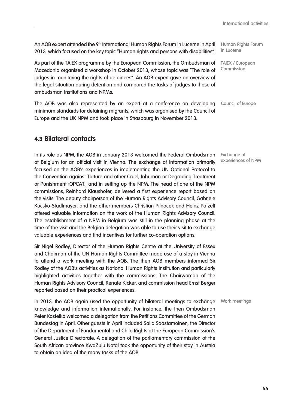An AOB expert attended the 9<sup>th</sup> International Human Rights Forum in Lucerne in April 2013, which focused on the key topic "Human rights and persons with disabilities".

As part of the TAIEX programme by the European Commission, the Ombudsman of TAIEX / European Macedonia organised a workshop in October 2013, whose topic was "The role of judges in monitoring the rights of detainees". An AOB expert gave an overview of the legal situation during detention and compared the tasks of judges to those of ombudsman institutions and NPMs.

The AOB was also represented by an expert at a conference on developing minimum standards for detaining migrants, which was organised by the Council of Europe and the UK NPM and took place in Strasbourg in November 2013.

## **4.3 Bilateral contacts**

In its role as NPM, the AOB in January 2013 welcomed the Federal Ombudsman of Belgium for an official visit in Vienna. The exchange of information primarily focused on the AOB's experiences in implementing the UN Optional Protocol to the Convention against Torture and other Cruel, Inhuman or Degrading Treatment or Punishment (OPCAT), and in setting up the NPM. The head of one of the NPM commissions, Reinhard Klaushofer, delivered a first experience report based on the visits. The deputy chairperson of the Human Rights Advisory Council, Gabriele Kucsko-Stadlmayer, and the other members Christian Pilnacek and Heinz Patzelt offered valuable information on the work of the Human Rights Advisory Council. The establishment of a NPM in Belgium was still in the planning phase at the time of the visit and the Belgian delegation was able to use their visit to exchange valuable experiences and find incentives for further co-operation options.

Sir Nigel Rodley, Director of the Human Rights Centre at the University of Essex and Chairman of the UN Human Rights Committee made use of a stay in Vienna to attend a work meeting with the AOB. The then AOB members informed Sir Rodley of the AOB's activities as National Human Rights Institution and particularly highlighted activities together with the commissions. The Chairwoman of the Human Rights Advisory Council, Renate Kicker, and commission head Ernst Berger reported based on their practical experiences.

In 2013, the AOB again used the opportunity of bilateral meetings to exchange knowledge and information internationally. For instance, the then Ombudsman Peter Kostelka welcomed a delegation from the Petitions Committee of the German Bundestag in April. Other guests in April included Salla Saastamoinen, the Director of the Department of Fundamental and Child Rights at the European Commission's General Justice Directorate. A delegation of the parliamentary commission of the South African province KwaZulu Natal took the opportunity of their stay in Austria to obtain an idea of the many tasks of the AOB. Work meetings

Human Rights Forum in Lucerne

Commission

Council of Europe

Exchange of experiences of NPM